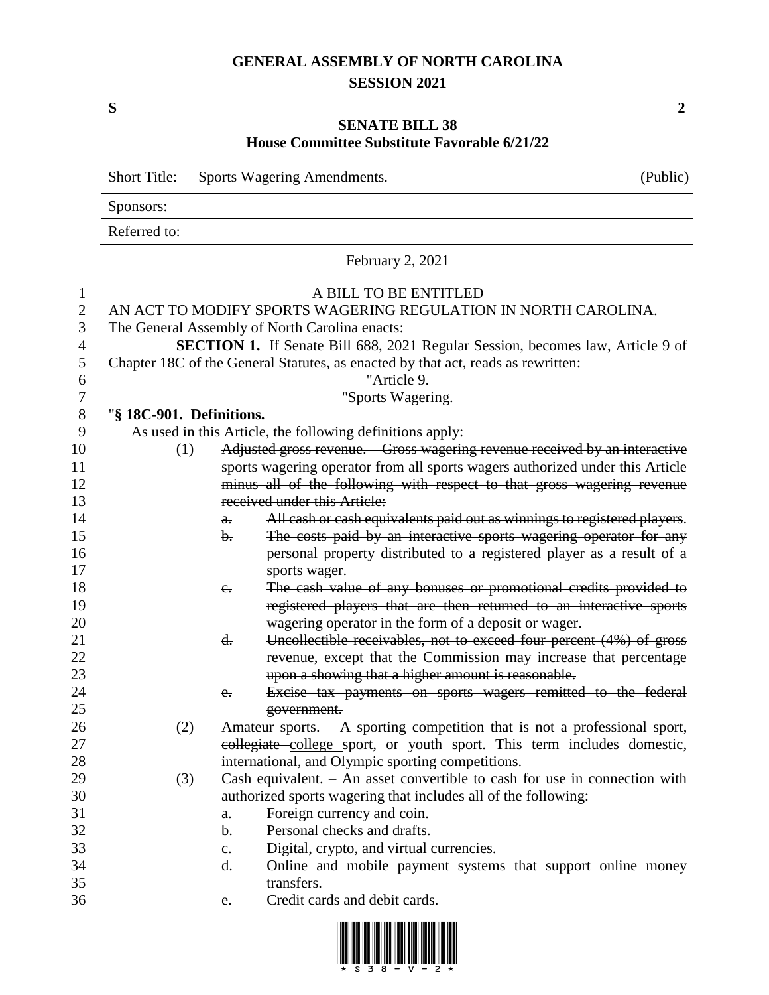## **GENERAL ASSEMBLY OF NORTH CAROLINA SESSION 2021**

## **SENATE BILL 38 House Committee Substitute Favorable 6/21/22**

|                | <b>Short Title:</b><br>Sports Wagering Amendments. |                |                                                                                       | (Public) |  |  |
|----------------|----------------------------------------------------|----------------|---------------------------------------------------------------------------------------|----------|--|--|
|                | Sponsors:                                          |                |                                                                                       |          |  |  |
|                | Referred to:                                       |                |                                                                                       |          |  |  |
|                |                                                    |                | February 2, 2021                                                                      |          |  |  |
| 1              |                                                    |                | A BILL TO BE ENTITLED                                                                 |          |  |  |
| $\overline{2}$ |                                                    |                | AN ACT TO MODIFY SPORTS WAGERING REGULATION IN NORTH CAROLINA.                        |          |  |  |
| 3              |                                                    |                | The General Assembly of North Carolina enacts:                                        |          |  |  |
| 4              |                                                    |                | <b>SECTION 1.</b> If Senate Bill 688, 2021 Regular Session, becomes law, Article 9 of |          |  |  |
| 5              |                                                    |                | Chapter 18C of the General Statutes, as enacted by that act, reads as rewritten:      |          |  |  |
| 6              |                                                    |                | "Article 9.                                                                           |          |  |  |
| 7              |                                                    |                | "Sports Wagering.                                                                     |          |  |  |
| 8              | "§ 18C-901. Definitions.                           |                |                                                                                       |          |  |  |
| 9              |                                                    |                | As used in this Article, the following definitions apply:                             |          |  |  |
| 10             | (1)                                                |                | Adjusted gross revenue. Gross wagering revenue received by an interactive             |          |  |  |
| 11             |                                                    |                | sports wagering operator from all sports wagers authorized under this Article         |          |  |  |
| 12             |                                                    |                | minus all of the following with respect to that gross wagering revenue                |          |  |  |
| 13             |                                                    |                | received under this Article:                                                          |          |  |  |
| 14             |                                                    | a.             | All cash or cash equivalents paid out as winnings to registered players.              |          |  |  |
| 15             |                                                    | $\mathbf{b}$ . | The costs paid by an interactive sports wagering operator for any                     |          |  |  |
| 16             |                                                    |                | personal property distributed to a registered player as a result of a                 |          |  |  |
| 17             |                                                    |                | sports wager.                                                                         |          |  |  |
| 18             |                                                    | $e_{i}$        | The cash value of any bonuses or promotional credits provided to                      |          |  |  |
| 19             |                                                    |                | registered players that are then returned to an interactive sports                    |          |  |  |
| 20             |                                                    |                | wagering operator in the form of a deposit or wager.                                  |          |  |  |
| 21             |                                                    | d.             | Uncollectible receivables, not to exceed four percent (4%) of gross                   |          |  |  |
| 22             |                                                    |                | revenue, except that the Commission may increase that percentage                      |          |  |  |
| 23             |                                                    |                | upon a showing that a higher amount is reasonable.                                    |          |  |  |
| 24             |                                                    | $e_{i}$        | Excise tax payments on sports wagers remitted to the federal                          |          |  |  |
| 25             |                                                    |                | government.                                                                           |          |  |  |
| 26             | (2)                                                |                | Amateur sports. $- A$ sporting competition that is not a professional sport,          |          |  |  |
| 27             |                                                    |                | collegiate college sport, or youth sport. This term includes domestic,                |          |  |  |
| 28             |                                                    |                | international, and Olympic sporting competitions.                                     |          |  |  |
| 29             | (3)                                                |                | Cash equivalent. $-$ An asset convertible to cash for use in connection with          |          |  |  |
| 30             |                                                    |                | authorized sports wagering that includes all of the following:                        |          |  |  |
| 31             |                                                    | a.             | Foreign currency and coin.                                                            |          |  |  |
| 32             |                                                    | b.             | Personal checks and drafts.                                                           |          |  |  |
| 33             |                                                    | $\mathbf{c}$ . | Digital, crypto, and virtual currencies.                                              |          |  |  |
| 34             |                                                    | d.             | Online and mobile payment systems that support online money                           |          |  |  |
| 35             |                                                    |                | transfers.                                                                            |          |  |  |
| 36             |                                                    | e.             | Credit cards and debit cards.                                                         |          |  |  |



**S 2**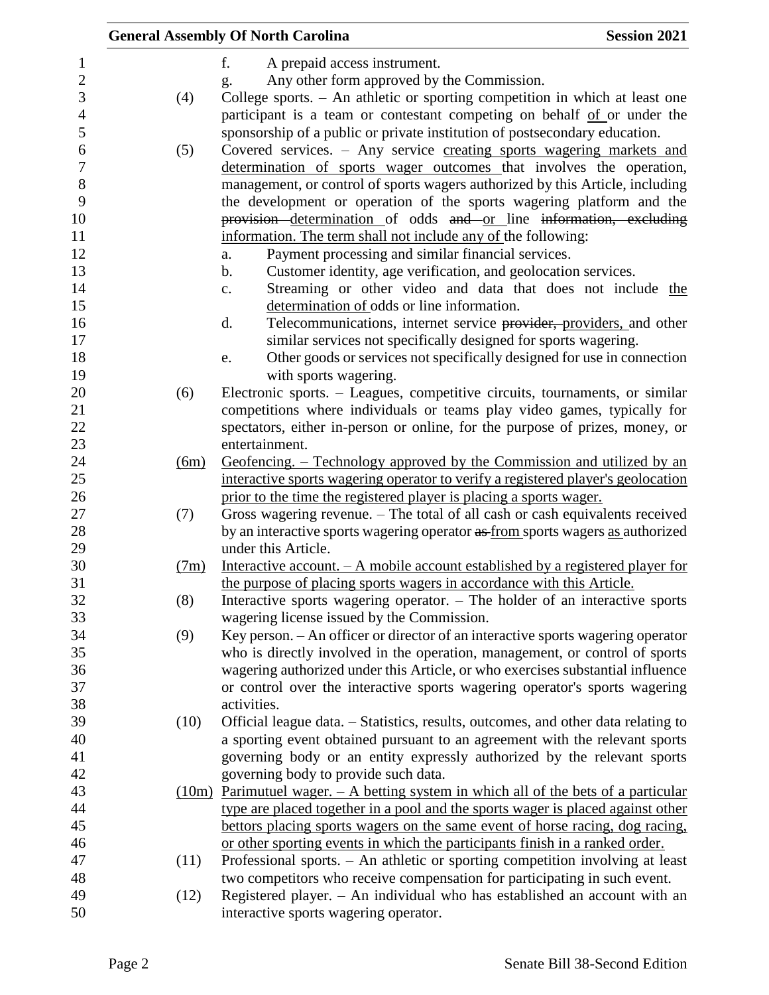|                |      | <b>General Assembly Of North Carolina</b>                                                                                                                      | <b>Session 2021</b> |
|----------------|------|----------------------------------------------------------------------------------------------------------------------------------------------------------------|---------------------|
| $\mathbf{1}$   |      | f.<br>A prepaid access instrument.                                                                                                                             |                     |
| $\sqrt{2}$     |      | Any other form approved by the Commission.<br>g.                                                                                                               |                     |
| 3              | (4)  | College sports. - An athletic or sporting competition in which at least one                                                                                    |                     |
| $\overline{4}$ |      | participant is a team or contestant competing on behalf of or under the                                                                                        |                     |
| 5              |      | sponsorship of a public or private institution of postsecondary education.                                                                                     |                     |
| 6              | (5)  | Covered services. - Any service creating sports wagering markets and                                                                                           |                     |
| $\overline{7}$ |      | determination of sports wager outcomes that involves the operation,                                                                                            |                     |
| $8\,$          |      | management, or control of sports wagers authorized by this Article, including                                                                                  |                     |
| 9              |      | the development or operation of the sports wagering platform and the                                                                                           |                     |
| 10             |      | provision determination of odds and or line information, excluding                                                                                             |                     |
| 11             |      | information. The term shall not include any of the following:                                                                                                  |                     |
| 12             |      | Payment processing and similar financial services.<br>a.                                                                                                       |                     |
| 13             |      | Customer identity, age verification, and geolocation services.<br>b.                                                                                           |                     |
| 14             |      | Streaming or other video and data that does not include the<br>c.                                                                                              |                     |
| 15             |      | determination of odds or line information.                                                                                                                     |                     |
| 16             |      | Telecommunications, internet service providers, providers, and other<br>d.                                                                                     |                     |
| 17             |      | similar services not specifically designed for sports wagering.                                                                                                |                     |
| 18             |      | Other goods or services not specifically designed for use in connection<br>e.                                                                                  |                     |
| 19             |      | with sports wagering.                                                                                                                                          |                     |
| 20             | (6)  | Electronic sports. – Leagues, competitive circuits, tournaments, or similar                                                                                    |                     |
| 21             |      | competitions where individuals or teams play video games, typically for                                                                                        |                     |
| 22             |      | spectators, either in-person or online, for the purpose of prizes, money, or                                                                                   |                     |
| 23             |      | entertainment.                                                                                                                                                 |                     |
| 24             | (6m) | Geofencing. – Technology approved by the Commission and utilized by an                                                                                         |                     |
| 25             |      | interactive sports wagering operator to verify a registered player's geolocation                                                                               |                     |
| 26             |      | prior to the time the registered player is placing a sports wager.                                                                                             |                     |
| 27             | (7)  | Gross wagering revenue. - The total of all cash or cash equivalents received                                                                                   |                     |
| 28             |      | by an interactive sports wagering operator as from sports wagers as authorized                                                                                 |                     |
| 29             |      | under this Article.                                                                                                                                            |                     |
| 30             | (7m) | Interactive account. $- A$ mobile account established by a registered player for                                                                               |                     |
| 31             |      | the purpose of placing sports wagers in accordance with this Article.                                                                                          |                     |
| 32<br>33       | (8)  | Interactive sports wagering operator. $-$ The holder of an interactive sports                                                                                  |                     |
| 34             |      | wagering license issued by the Commission.                                                                                                                     |                     |
| 35             | (9)  | Key person. - An officer or director of an interactive sports wagering operator<br>who is directly involved in the operation, management, or control of sports |                     |
| 36             |      | wagering authorized under this Article, or who exercises substantial influence                                                                                 |                     |
| 37             |      | or control over the interactive sports wagering operator's sports wagering                                                                                     |                     |
| 38             |      | activities.                                                                                                                                                    |                     |
| 39             | (10) | Official league data. – Statistics, results, outcomes, and other data relating to                                                                              |                     |
| 40             |      | a sporting event obtained pursuant to an agreement with the relevant sports                                                                                    |                     |
| 41             |      | governing body or an entity expressly authorized by the relevant sports                                                                                        |                     |
| 42             |      | governing body to provide such data.                                                                                                                           |                     |
| 43             |      | $(10m)$ Parimutuel wager. $-$ A betting system in which all of the bets of a particular                                                                        |                     |
| 44             |      | type are placed together in a pool and the sports wager is placed against other                                                                                |                     |
| 45             |      | bettors placing sports wagers on the same event of horse racing, dog racing,                                                                                   |                     |
| 46             |      | or other sporting events in which the participants finish in a ranked order.                                                                                   |                     |
| 47             | (11) | Professional sports. - An athletic or sporting competition involving at least                                                                                  |                     |
| 48             |      | two competitors who receive compensation for participating in such event.                                                                                      |                     |
| 49             | (12) | Registered player. - An individual who has established an account with an                                                                                      |                     |
| 50             |      | interactive sports wagering operator.                                                                                                                          |                     |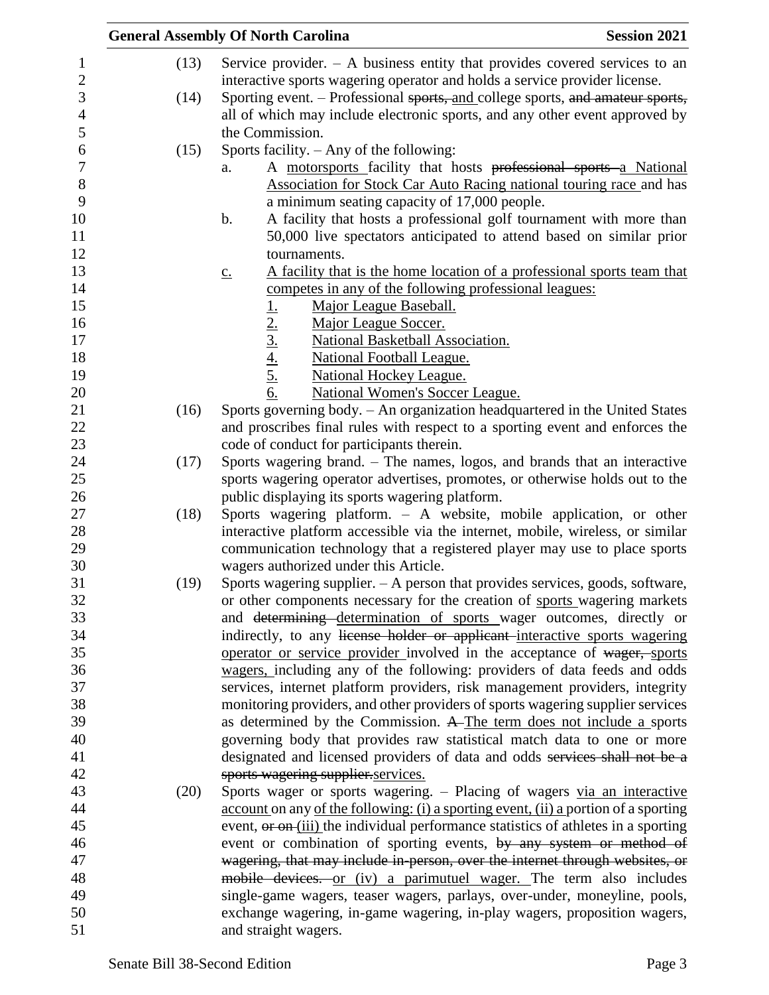|      | <b>Session 2021</b><br><b>General Assembly Of North Carolina</b>                                                                                  |
|------|---------------------------------------------------------------------------------------------------------------------------------------------------|
| (13) | Service provider. $-$ A business entity that provides covered services to an                                                                      |
|      | interactive sports wagering operator and holds a service provider license.                                                                        |
| (14) | Sporting event. – Professional sports, and college sports, and amateur sports,                                                                    |
|      | all of which may include electronic sports, and any other event approved by                                                                       |
|      | the Commission.                                                                                                                                   |
| (15) | Sports facility. $-$ Any of the following:                                                                                                        |
|      | A motorsports facility that hosts professional sports a National<br>a.                                                                            |
|      | <b>Association for Stock Car Auto Racing national touring race and has</b>                                                                        |
|      | a minimum seating capacity of 17,000 people.                                                                                                      |
|      | A facility that hosts a professional golf tournament with more than<br>b.                                                                         |
|      | 50,000 live spectators anticipated to attend based on similar prior                                                                               |
|      | tournaments.                                                                                                                                      |
|      | A facility that is the home location of a professional sports team that<br>$\underline{c}$ .                                                      |
|      | competes in any of the following professional leagues:                                                                                            |
|      | Major League Baseball.                                                                                                                            |
|      | $\frac{1}{2}$ .<br>$\frac{2}{3}$ .<br>$\frac{4}{4}$ .<br>$\frac{5}{6}$ .<br>Major League Soccer.                                                  |
|      | National Basketball Association.                                                                                                                  |
|      | <b>National Football League.</b>                                                                                                                  |
|      | <b>National Hockey League.</b>                                                                                                                    |
|      | <b>National Women's Soccer League.</b>                                                                                                            |
| (16) | Sports governing body. - An organization headquartered in the United States                                                                       |
|      | and proscribes final rules with respect to a sporting event and enforces the                                                                      |
|      | code of conduct for participants therein.                                                                                                         |
| (17) | Sports wagering brand. - The names, logos, and brands that an interactive                                                                         |
|      | sports wagering operator advertises, promotes, or otherwise holds out to the                                                                      |
|      | public displaying its sports wagering platform.                                                                                                   |
| (18) | Sports wagering platform. - A website, mobile application, or other                                                                               |
|      | interactive platform accessible via the internet, mobile, wireless, or similar                                                                    |
|      | communication technology that a registered player may use to place sports                                                                         |
|      | wagers authorized under this Article.                                                                                                             |
| (19) | Sports wagering supplier. $- A$ person that provides services, goods, software,                                                                   |
|      | or other components necessary for the creation of sports wagering markets                                                                         |
|      | and determining determination of sports wager outcomes, directly or<br>indirectly, to any license holder or applicant interactive sports wagering |
|      | operator or service provider involved in the acceptance of wager, sports                                                                          |
|      | wagers, including any of the following: providers of data feeds and odds                                                                          |
|      | services, internet platform providers, risk management providers, integrity                                                                       |
|      | monitoring providers, and other providers of sports wagering supplier services                                                                    |
|      | as determined by the Commission. A The term does not include a sports                                                                             |
|      | governing body that provides raw statistical match data to one or more                                                                            |
|      | designated and licensed providers of data and odds services shall not be a                                                                        |
|      | sports wagering supplier services.                                                                                                                |
| (20) | Sports wager or sports wagering. - Placing of wagers via an interactive                                                                           |
|      | account on any of the following: (i) a sporting event, (ii) a portion of a sporting                                                               |
|      | event, or on (iii) the individual performance statistics of athletes in a sporting                                                                |
|      | event or combination of sporting events, by any system or method of                                                                               |
|      | wagering, that may include in person, over the internet through websites, or                                                                      |
|      | mobile devices. or (iv) a parimutuel wager. The term also includes                                                                                |
|      | single-game wagers, teaser wagers, parlays, over-under, moneyline, pools,                                                                         |
|      | exchange wagering, in-game wagering, in-play wagers, proposition wagers,                                                                          |
|      | and straight wagers.                                                                                                                              |
|      |                                                                                                                                                   |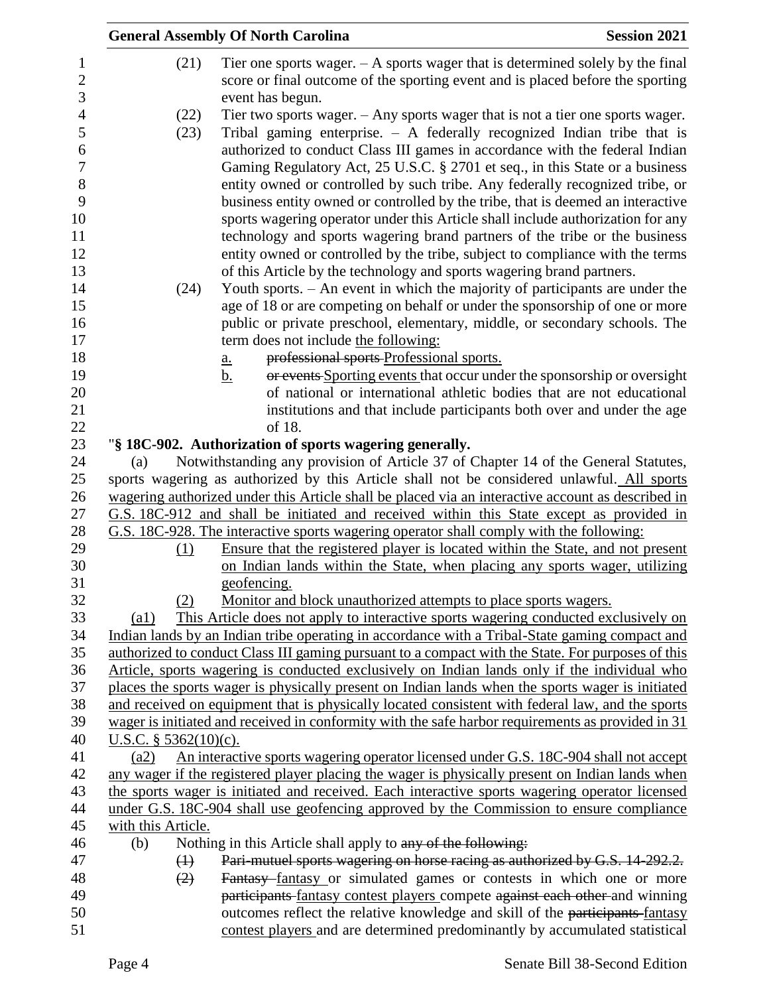|                                       |                           | <b>General Assembly Of North Carolina</b>                                                                                                                                                                                                | <b>Session 2021</b> |
|---------------------------------------|---------------------------|------------------------------------------------------------------------------------------------------------------------------------------------------------------------------------------------------------------------------------------|---------------------|
| $\mathbf{1}$<br>$\boldsymbol{2}$<br>3 | (21)                      | Tier one sports wager. $- A$ sports wager that is determined solely by the final<br>score or final outcome of the sporting event and is placed before the sporting<br>event has begun.                                                   |                     |
| $\overline{4}$                        | (22)                      | Tier two sports wager. $-$ Any sports wager that is not a tier one sports wager.                                                                                                                                                         |                     |
| 5<br>6<br>$\boldsymbol{7}$            | (23)                      | Tribal gaming enterprise. $-$ A federally recognized Indian tribe that is<br>authorized to conduct Class III games in accordance with the federal Indian<br>Gaming Regulatory Act, 25 U.S.C. § 2701 et seq., in this State or a business |                     |
| 8<br>9                                |                           | entity owned or controlled by such tribe. Any federally recognized tribe, or                                                                                                                                                             |                     |
| 10                                    |                           | business entity owned or controlled by the tribe, that is deemed an interactive<br>sports wagering operator under this Article shall include authorization for any                                                                       |                     |
| 11                                    |                           | technology and sports wagering brand partners of the tribe or the business                                                                                                                                                               |                     |
| 12                                    |                           | entity owned or controlled by the tribe, subject to compliance with the terms                                                                                                                                                            |                     |
| 13                                    |                           | of this Article by the technology and sports wagering brand partners.                                                                                                                                                                    |                     |
| 14                                    | (24)                      | Youth sports. - An event in which the majority of participants are under the                                                                                                                                                             |                     |
| 15                                    |                           | age of 18 or are competing on behalf or under the sponsorship of one or more                                                                                                                                                             |                     |
| 16                                    |                           | public or private preschool, elementary, middle, or secondary schools. The                                                                                                                                                               |                     |
| 17                                    |                           | term does not include the following:                                                                                                                                                                                                     |                     |
| 18                                    |                           | professional sports Professional sports.<br><u>a.</u>                                                                                                                                                                                    |                     |
| 19                                    |                           | or events Sporting events that occur under the sponsorship or oversight<br><u>b.</u>                                                                                                                                                     |                     |
| 20                                    |                           | of national or international athletic bodies that are not educational                                                                                                                                                                    |                     |
| 21                                    |                           | institutions and that include participants both over and under the age                                                                                                                                                                   |                     |
| 22                                    |                           | of 18.                                                                                                                                                                                                                                   |                     |
| 23                                    |                           | "§ 18C-902. Authorization of sports wagering generally.                                                                                                                                                                                  |                     |
| 24                                    | (a)                       | Notwithstanding any provision of Article 37 of Chapter 14 of the General Statutes,                                                                                                                                                       |                     |
| 25                                    |                           | sports wagering as authorized by this Article shall not be considered unlawful. All sports                                                                                                                                               |                     |
| 26<br>27                              |                           | wagering authorized under this Article shall be placed via an interactive account as described in                                                                                                                                        |                     |
| 28                                    |                           | G.S. 18C-912 and shall be initiated and received within this State except as provided in<br>G.S. 18C-928. The interactive sports wagering operator shall comply with the following:                                                      |                     |
| 29                                    | (1)                       | Ensure that the registered player is located within the State, and not present                                                                                                                                                           |                     |
| 30                                    |                           | on Indian lands within the State, when placing any sports wager, utilizing                                                                                                                                                               |                     |
| 31                                    |                           | geofencing.                                                                                                                                                                                                                              |                     |
| 32                                    | (2)                       | Monitor and block unauthorized attempts to place sports wagers.                                                                                                                                                                          |                     |
| 33                                    | $\left( a1\right)$        | This Article does not apply to interactive sports wagering conducted exclusively on                                                                                                                                                      |                     |
| 34                                    |                           | Indian lands by an Indian tribe operating in accordance with a Tribal-State gaming compact and                                                                                                                                           |                     |
| 35                                    |                           | authorized to conduct Class III gaming pursuant to a compact with the State. For purposes of this                                                                                                                                        |                     |
| 36                                    |                           | Article, sports wagering is conducted exclusively on Indian lands only if the individual who                                                                                                                                             |                     |
| 37                                    |                           | places the sports wager is physically present on Indian lands when the sports wager is initiated                                                                                                                                         |                     |
| 38                                    |                           | and received on equipment that is physically located consistent with federal law, and the sports                                                                                                                                         |                     |
| 39                                    |                           | wager is initiated and received in conformity with the safe harbor requirements as provided in 31                                                                                                                                        |                     |
| 40                                    | U.S.C. $§$ 5362(10)(c).   |                                                                                                                                                                                                                                          |                     |
| 41                                    | (a2)                      | An interactive sports wagering operator licensed under G.S. 18C-904 shall not accept                                                                                                                                                     |                     |
| 42                                    |                           | any wager if the registered player placing the wager is physically present on Indian lands when                                                                                                                                          |                     |
| 43                                    |                           | the sports wager is initiated and received. Each interactive sports wagering operator licensed                                                                                                                                           |                     |
| 44                                    |                           | under G.S. 18C-904 shall use geofencing approved by the Commission to ensure compliance                                                                                                                                                  |                     |
| 45<br>46                              | with this Article.<br>(b) | Nothing in this Article shall apply to any of the following.                                                                                                                                                                             |                     |
| 47                                    | $\bigoplus$               | Pari-mutuel sports wagering on horse racing as authorized by G.S. 14-292.2.                                                                                                                                                              |                     |
| 48                                    | (2)                       | Fantasy fantasy or simulated games or contests in which one or more                                                                                                                                                                      |                     |
| 49                                    |                           | participants fantasy contest players compete against each other and winning                                                                                                                                                              |                     |
| 50                                    |                           | outcomes reflect the relative knowledge and skill of the participants-fantasy                                                                                                                                                            |                     |
| 51                                    |                           | contest players and are determined predominantly by accumulated statistical                                                                                                                                                              |                     |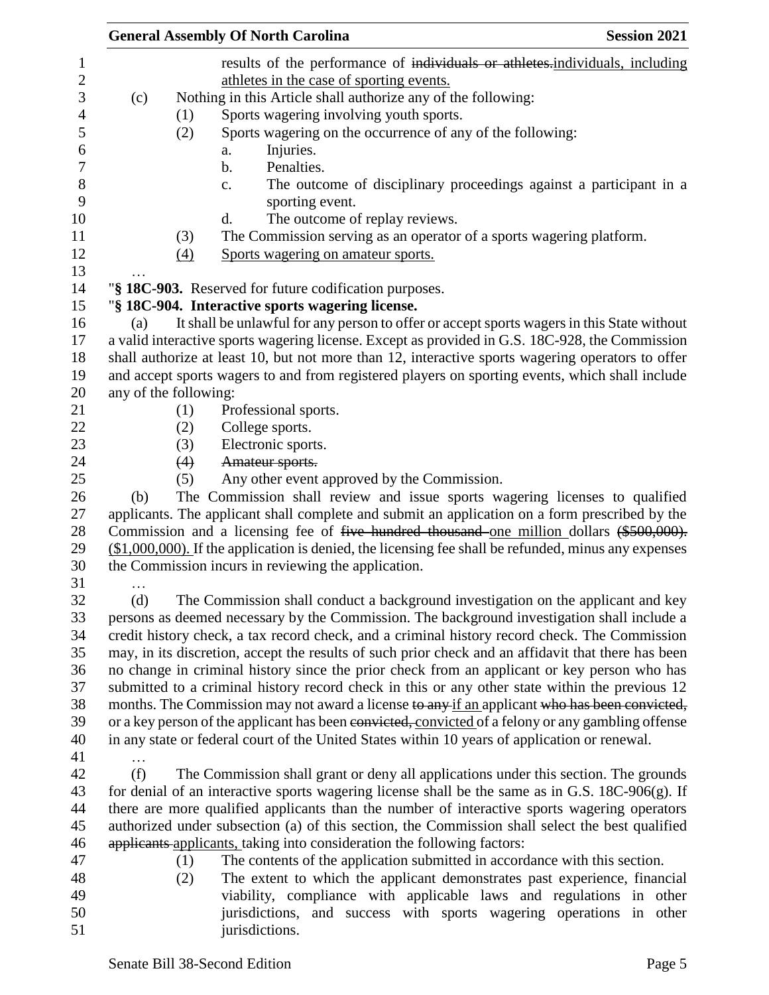|                       |     | <b>General Assembly Of North Carolina</b>                                                              |                                |  |                                                                    | <b>Session 2021</b> |
|-----------------------|-----|--------------------------------------------------------------------------------------------------------|--------------------------------|--|--------------------------------------------------------------------|---------------------|
|                       |     | results of the performance of individuals or athletes.individuals, including                           |                                |  |                                                                    |                     |
|                       |     | athletes in the case of sporting events.                                                               |                                |  |                                                                    |                     |
| (c)                   |     | Nothing in this Article shall authorize any of the following:                                          |                                |  |                                                                    |                     |
|                       | (1) | Sports wagering involving youth sports.                                                                |                                |  |                                                                    |                     |
|                       | (2) | Sports wagering on the occurrence of any of the following:                                             |                                |  |                                                                    |                     |
|                       |     | Injuries.<br>a.                                                                                        |                                |  |                                                                    |                     |
|                       |     | Penalties.<br>b.                                                                                       |                                |  |                                                                    |                     |
|                       |     | c.                                                                                                     |                                |  | The outcome of disciplinary proceedings against a participant in a |                     |
|                       |     | sporting event.                                                                                        |                                |  |                                                                    |                     |
|                       |     | d.                                                                                                     | The outcome of replay reviews. |  |                                                                    |                     |
|                       | (3) | The Commission serving as an operator of a sports wagering platform.                                   |                                |  |                                                                    |                     |
|                       | (4) | Sports wagering on amateur sports.                                                                     |                                |  |                                                                    |                     |
|                       |     | "§ 18C-903. Reserved for future codification purposes.                                                 |                                |  |                                                                    |                     |
|                       |     | "§ 18C-904. Interactive sports wagering license.                                                       |                                |  |                                                                    |                     |
| (a)                   |     | It shall be unlawful for any person to offer or accept sports wagers in this State without             |                                |  |                                                                    |                     |
|                       |     | a valid interactive sports wagering license. Except as provided in G.S. 18C-928, the Commission        |                                |  |                                                                    |                     |
|                       |     | shall authorize at least 10, but not more than 12, interactive sports wagering operators to offer      |                                |  |                                                                    |                     |
|                       |     | and accept sports wagers to and from registered players on sporting events, which shall include        |                                |  |                                                                    |                     |
| any of the following: |     |                                                                                                        |                                |  |                                                                    |                     |
|                       | (1) | Professional sports.                                                                                   |                                |  |                                                                    |                     |
|                       | (2) | College sports.                                                                                        |                                |  |                                                                    |                     |
|                       | (3) | Electronic sports.                                                                                     |                                |  |                                                                    |                     |
|                       | (4) | Amateur sports.                                                                                        |                                |  |                                                                    |                     |
|                       | (5) | Any other event approved by the Commission.                                                            |                                |  |                                                                    |                     |
| (b)                   |     | The Commission shall review and issue sports wagering licenses to qualified                            |                                |  |                                                                    |                     |
|                       |     | applicants. The applicant shall complete and submit an application on a form prescribed by the         |                                |  |                                                                    |                     |
|                       |     | Commission and a licensing fee of five hundred thousand one million dollars (\$500,000).               |                                |  |                                                                    |                     |
|                       |     | $($1,000,000)$ . If the application is denied, the licensing fee shall be refunded, minus any expenses |                                |  |                                                                    |                     |
|                       |     | the Commission incurs in reviewing the application.                                                    |                                |  |                                                                    |                     |
| $\cdots$              |     |                                                                                                        |                                |  |                                                                    |                     |
| (d)                   |     | The Commission shall conduct a background investigation on the applicant and key                       |                                |  |                                                                    |                     |
|                       |     | persons as deemed necessary by the Commission. The background investigation shall include a            |                                |  |                                                                    |                     |
|                       |     | credit history check, a tax record check, and a criminal history record check. The Commission          |                                |  |                                                                    |                     |
|                       |     | may, in its discretion, accept the results of such prior check and an affidavit that there has been    |                                |  |                                                                    |                     |
|                       |     | no change in criminal history since the prior check from an applicant or key person who has            |                                |  |                                                                    |                     |
|                       |     | submitted to a criminal history record check in this or any other state within the previous 12         |                                |  |                                                                    |                     |
|                       |     | months. The Commission may not award a license to any if an applicant who has been convicted,          |                                |  |                                                                    |                     |
|                       |     | or a key person of the applicant has been convicted, convicted of a felony or any gambling offense     |                                |  |                                                                    |                     |
|                       |     | in any state or federal court of the United States within 10 years of application or renewal.          |                                |  |                                                                    |                     |
| $\cdots$              |     |                                                                                                        |                                |  |                                                                    |                     |
| (f)                   |     | The Commission shall grant or deny all applications under this section. The grounds                    |                                |  |                                                                    |                     |
|                       |     | for denial of an interactive sports wagering license shall be the same as in G.S. 18C-906(g). If       |                                |  |                                                                    |                     |
|                       |     | there are more qualified applicants than the number of interactive sports wagering operators           |                                |  |                                                                    |                     |
|                       |     | authorized under subsection (a) of this section, the Commission shall select the best qualified        |                                |  |                                                                    |                     |
|                       |     | applicants applicants, taking into consideration the following factors:                                |                                |  |                                                                    |                     |
|                       | (1) | The contents of the application submitted in accordance with this section.                             |                                |  |                                                                    |                     |
|                       | (2) | The extent to which the applicant demonstrates past experience, financial                              |                                |  |                                                                    |                     |
|                       |     | viability, compliance with applicable laws and regulations in other                                    |                                |  |                                                                    |                     |
|                       |     | jurisdictions, and success with sports wagering operations in other                                    |                                |  |                                                                    |                     |
|                       |     | jurisdictions.                                                                                         |                                |  |                                                                    |                     |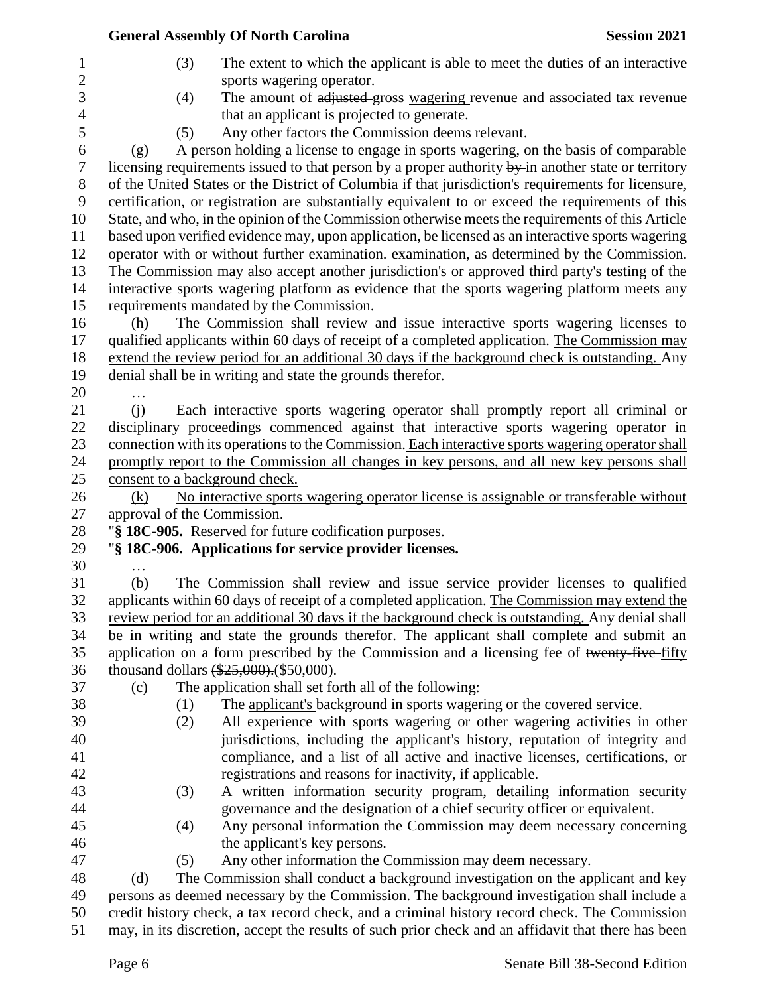|                                | <b>General Assembly Of North Carolina</b>                                                                   | <b>Session 2021</b> |
|--------------------------------|-------------------------------------------------------------------------------------------------------------|---------------------|
| (3)                            | The extent to which the applicant is able to meet the duties of an interactive<br>sports wagering operator. |                     |
| (4)                            | The amount of adjusted gross wagering revenue and associated tax revenue                                    |                     |
|                                | that an applicant is projected to generate.                                                                 |                     |
| (5)                            | Any other factors the Commission deems relevant.                                                            |                     |
| (g)                            | A person holding a license to engage in sports wagering, on the basis of comparable                         |                     |
|                                | licensing requirements issued to that person by a proper authority by in another state or territory         |                     |
|                                | of the United States or the District of Columbia if that jurisdiction's requirements for licensure,         |                     |
|                                | certification, or registration are substantially equivalent to or exceed the requirements of this           |                     |
|                                | State, and who, in the opinion of the Commission otherwise meets the requirements of this Article           |                     |
|                                | based upon verified evidence may, upon application, be licensed as an interactive sports wagering           |                     |
|                                | operator with or without further examination. examination, as determined by the Commission.                 |                     |
|                                | The Commission may also accept another jurisdiction's or approved third party's testing of the              |                     |
|                                | interactive sports wagering platform as evidence that the sports wagering platform meets any                |                     |
|                                | requirements mandated by the Commission.                                                                    |                     |
| (h)                            | The Commission shall review and issue interactive sports wagering licenses to                               |                     |
|                                | qualified applicants within 60 days of receipt of a completed application. The Commission may               |                     |
|                                | extend the review period for an additional 30 days if the background check is outstanding. Any              |                     |
|                                | denial shall be in writing and state the grounds therefor.                                                  |                     |
|                                |                                                                                                             |                     |
| (i)                            | Each interactive sports wagering operator shall promptly report all criminal or                             |                     |
|                                | disciplinary proceedings commenced against that interactive sports wagering operator in                     |                     |
|                                | connection with its operations to the Commission. Each interactive sports wagering operator shall           |                     |
|                                | promptly report to the Commission all changes in key persons, and all new key persons shall                 |                     |
| consent to a background check. |                                                                                                             |                     |
| (k)                            | No interactive sports wagering operator license is assignable or transferable without                       |                     |
| approval of the Commission.    |                                                                                                             |                     |
|                                | "§ 18C-905. Reserved for future codification purposes.                                                      |                     |
|                                | "§ 18C-906. Applications for service provider licenses.                                                     |                     |
|                                |                                                                                                             |                     |
| (b)                            | The Commission shall review and issue service provider licenses to qualified                                |                     |
|                                | applicants within 60 days of receipt of a completed application. The Commission may extend the              |                     |
|                                | review period for an additional 30 days if the background check is outstanding. Any denial shall            |                     |
|                                | be in writing and state the grounds therefor. The applicant shall complete and submit an                    |                     |
|                                | application on a form prescribed by the Commission and a licensing fee of twenty-five-fifty                 |                     |
|                                | thousand dollars $(*25,000)$ . (\$50,000).                                                                  |                     |
| (c)                            | The application shall set forth all of the following:                                                       |                     |
| (1)                            | The applicant's background in sports wagering or the covered service.                                       |                     |
| (2)                            | All experience with sports wagering or other wagering activities in other                                   |                     |
|                                | jurisdictions, including the applicant's history, reputation of integrity and                               |                     |
|                                | compliance, and a list of all active and inactive licenses, certifications, or                              |                     |
|                                | registrations and reasons for inactivity, if applicable.                                                    |                     |
| (3)                            | A written information security program, detailing information security                                      |                     |
|                                | governance and the designation of a chief security officer or equivalent.                                   |                     |
| (4)                            | Any personal information the Commission may deem necessary concerning                                       |                     |
|                                | the applicant's key persons.                                                                                |                     |
| (5)                            | Any other information the Commission may deem necessary.                                                    |                     |
| (d)                            | The Commission shall conduct a background investigation on the applicant and key                            |                     |
|                                | persons as deemed necessary by the Commission. The background investigation shall include a                 |                     |
|                                | credit history check, a tax record check, and a criminal history record check. The Commission               |                     |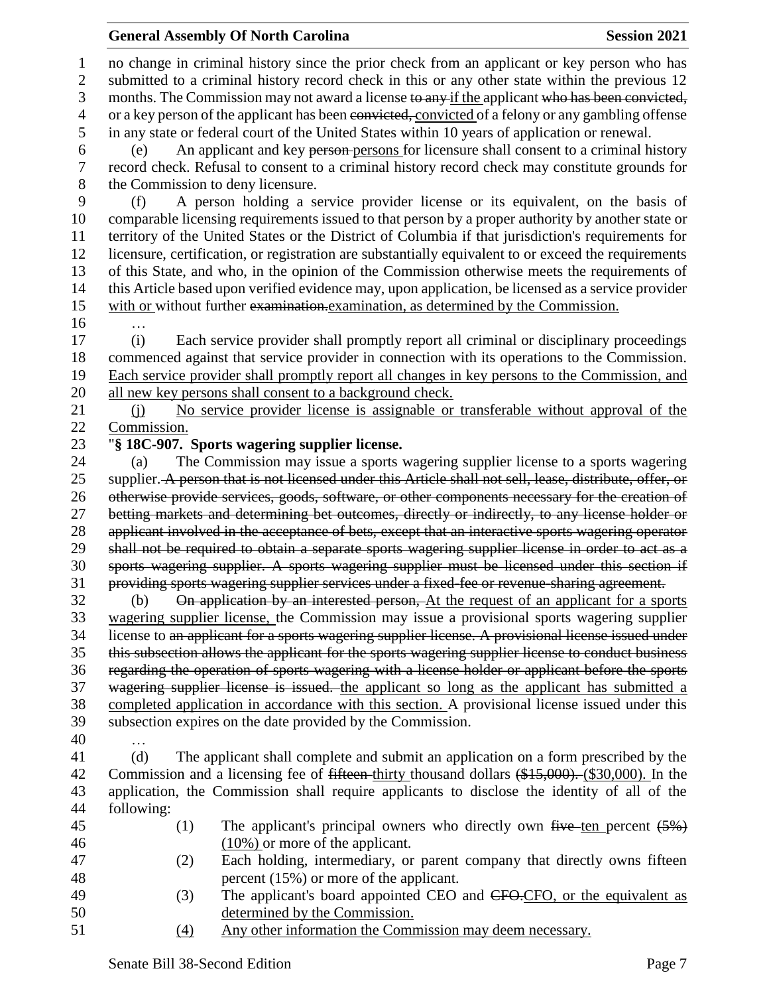## **General Assembly Of North Carolina Session 2021**

 no change in criminal history since the prior check from an applicant or key person who has submitted to a criminal history record check in this or any other state within the previous 12 3 months. The Commission may not award a license to any if the applicant who has been convicted, 4 or a key person of the applicant has been convicted, convicted of a felony or any gambling offense in any state or federal court of the United States within 10 years of application or renewal. (e) An applicant and key person persons for licensure shall consent to a criminal history record check. Refusal to consent to a criminal history record check may constitute grounds for the Commission to deny licensure. (f) A person holding a service provider license or its equivalent, on the basis of comparable licensing requirements issued to that person by a proper authority by another state or territory of the United States or the District of Columbia if that jurisdiction's requirements for licensure, certification, or registration are substantially equivalent to or exceed the requirements of this State, and who, in the opinion of the Commission otherwise meets the requirements of this Article based upon verified evidence may, upon application, be licensed as a service provider with or without further examination.examination, as determined by the Commission. … (i) Each service provider shall promptly report all criminal or disciplinary proceedings commenced against that service provider in connection with its operations to the Commission. Each service provider shall promptly report all changes in key persons to the Commission, and 20 all new key persons shall consent to a background check. (j) No service provider license is assignable or transferable without approval of the Commission. "**§ 18C-907. Sports wagering supplier license.** (a) The Commission may issue a sports wagering supplier license to a sports wagering 25 supplier. A person that is not licensed under this Article shall not sell, lease, distribute, offer, or otherwise provide services, goods, software, or other components necessary for the creation of betting markets and determining bet outcomes, directly or indirectly, to any license holder or 28 applicant involved in the acceptance of bets, except that an interactive sports wagering operator shall not be required to obtain a separate sports wagering supplier license in order to act as a sports wagering supplier. A sports wagering supplier must be licensed under this section if providing sports wagering supplier services under a fixed-fee or revenue-sharing agreement. (b) On application by an interested person, At the request of an applicant for a sports wagering supplier license, the Commission may issue a provisional sports wagering supplier license to an applicant for a sports wagering supplier license. A provisional license issued under this subsection allows the applicant for the sports wagering supplier license to conduct business regarding the operation of sports wagering with a license holder or applicant before the sports 37 wagering supplier license is issued. the applicant so long as the applicant has submitted a completed application in accordance with this section. A provisional license issued under this subsection expires on the date provided by the Commission. … (d) The applicant shall complete and submit an application on a form prescribed by the 42 Commission and a licensing fee of <del>fifteen</del> thirty thousand dollars (\$15,000). (\$30,000). In the application, the Commission shall require applicants to disclose the identity of all of the following: 45 (1) The applicant's principal owners who directly own  $f$ ive ten percent  $(5%)$  (10%) or more of the applicant. (2) Each holding, intermediary, or parent company that directly owns fifteen 48 percent (15%) or more of the applicant. 49 (3) The applicant's board appointed CEO and CFO.CFO, or the equivalent as determined by the Commission.

(4) Any other information the Commission may deem necessary.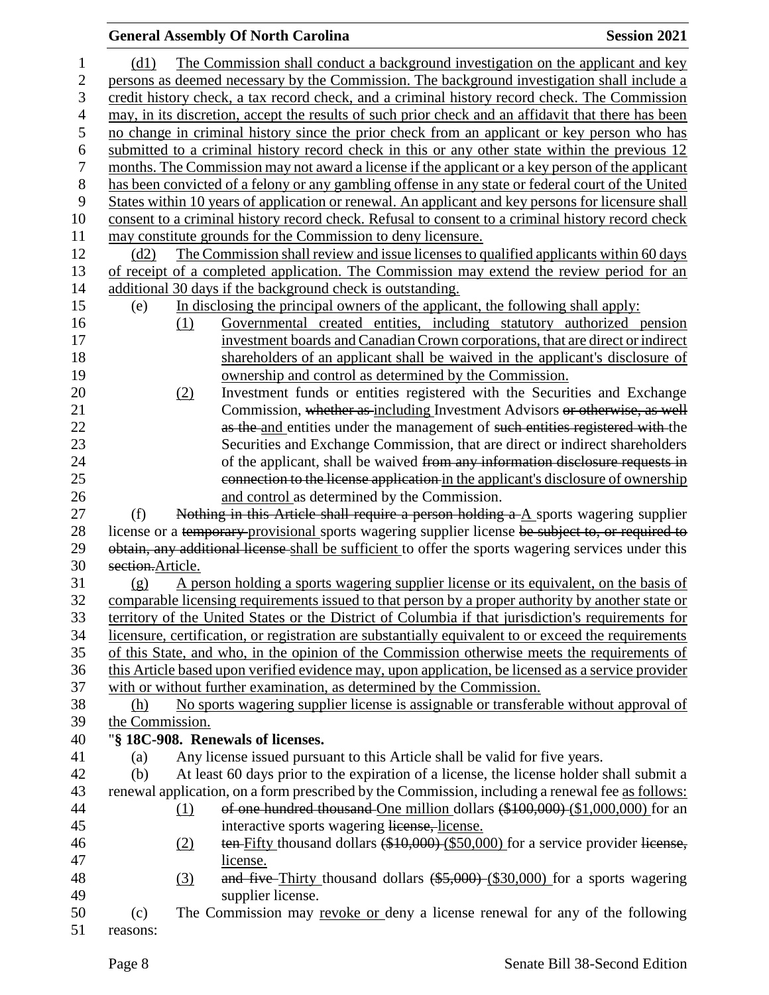## **General Assembly Of North Carolina Session 2021**  (d1) The Commission shall conduct a background investigation on the applicant and key persons as deemed necessary by the Commission. The background investigation shall include a credit history check, a tax record check, and a criminal history record check. The Commission may, in its discretion, accept the results of such prior check and an affidavit that there has been no change in criminal history since the prior check from an applicant or key person who has submitted to a criminal history record check in this or any other state within the previous 12 months. The Commission may not award a license if the applicant or a key person of the applicant has been convicted of a felony or any gambling offense in any state or federal court of the United States within 10 years of application or renewal. An applicant and key persons for licensure shall consent to a criminal history record check. Refusal to consent to a criminal history record check may constitute grounds for the Commission to deny licensure. (d2) The Commission shall review and issue licenses to qualified applicants within 60 days of receipt of a completed application. The Commission may extend the review period for an additional 30 days if the background check is outstanding. (e) In disclosing the principal owners of the applicant, the following shall apply: (1) Governmental created entities, including statutory authorized pension investment boards andCanadianCrown corporations, that are direct orindirect shareholders of an applicant shall be waived in the applicant's disclosure of ownership and control as determined by the Commission. (2) Investment funds or entities registered with the Securities and Exchange Commission, whether as including Investment Advisors or otherwise, as well 22 as the and entities under the management of such entities registered with the Securities and Exchange Commission, that are direct or indirect shareholders 24 of the applicant, shall be waived from any information disclosure requests in connection to the license application in the applicant's disclosure of ownership and control as determined by the Commission. (f) Nothing in this Article shall require a person holding a A sports wagering supplier 28 license or a temporary provisional sports wagering supplier license be subject to, or required to 29 obtain, any additional license shall be sufficient to offer the sports wagering services under this section.Article. (g) A person holding a sports wagering supplier license or its equivalent, on the basis of comparable licensing requirements issued to that person by a proper authority by another state or territory of the United States or the District of Columbia if that jurisdiction's requirements for licensure, certification, or registration are substantially equivalent to or exceed the requirements of this State, and who, in the opinion of the Commission otherwise meets the requirements of this Article based upon verified evidence may, upon application, be licensed as a service provider with or without further examination, as determined by the Commission. (h) No sports wagering supplier license is assignable or transferable without approval of the Commission. "**§ 18C-908. Renewals of licenses.** (a) Any license issued pursuant to this Article shall be valid for five years. (b) At least 60 days prior to the expiration of a license, the license holder shall submit a renewal application, on a form prescribed by the Commission, including a renewal fee as follows: 44 (1) of one hundred thousand One million dollars (\$100,000) (\$1,000,000) for an interactive sports wagering license, license. 46 (2) ten Fifty thousand dollars (\$10,000) (\$50,000) for a service provider license, license. 48 (3) and five Thirty thousand dollars (\$5,000) (\$30,000) for a sports wagering supplier license. (c) The Commission may revoke or deny a license renewal for any of the following reasons: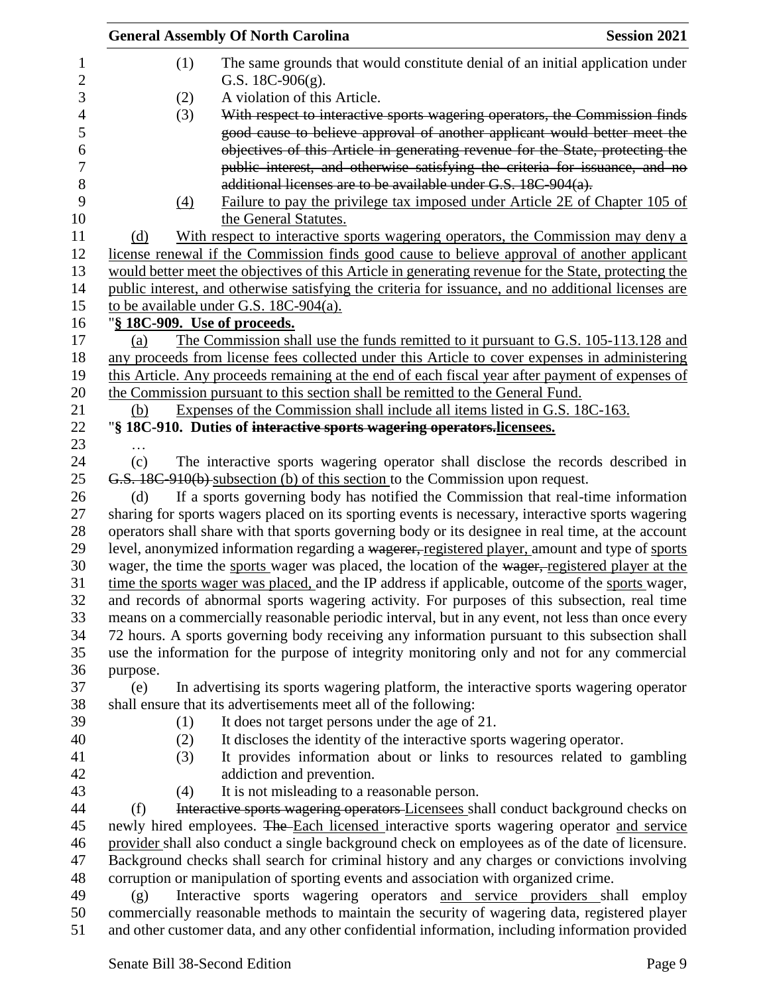|                  |                              | <b>General Assembly Of North Carolina</b>                                      | <b>Session 2021</b>                                                                                  |
|------------------|------------------------------|--------------------------------------------------------------------------------|------------------------------------------------------------------------------------------------------|
| $\mathbf 1$<br>2 | (1)                          | G.S. $18C-906(g)$ .                                                            | The same grounds that would constitute denial of an initial application under                        |
| 3                | (2)                          | A violation of this Article.                                                   |                                                                                                      |
| $\overline{4}$   | (3)                          |                                                                                | With respect to interactive sports wagering operators, the Commission finds                          |
| 5                |                              |                                                                                | good cause to believe approval of another applicant would better meet the                            |
| 6                |                              |                                                                                | objectives of this Article in generating revenue for the State, protecting the                       |
| 7<br>8           |                              | additional licenses are to be available under G.S. 18C-904(a).                 | public interest, and otherwise satisfying the criteria for issuance, and no                          |
| 9<br>10          | (4)                          | the General Statutes.                                                          | Failure to pay the privilege tax imposed under Article 2E of Chapter 105 of                          |
| 11               | (d)                          |                                                                                | With respect to interactive sports wagering operators, the Commission may deny a                     |
| 12               |                              |                                                                                | license renewal if the Commission finds good cause to believe approval of another applicant          |
| 13               |                              |                                                                                | would better meet the objectives of this Article in generating revenue for the State, protecting the |
| 14               |                              |                                                                                | public interest, and otherwise satisfying the criteria for issuance, and no additional licenses are  |
| 15<br>16         | "§ 18C-909. Use of proceeds. | to be available under G.S. 18C-904(a).                                         |                                                                                                      |
| 17               | (a)                          |                                                                                | The Commission shall use the funds remitted to it pursuant to G.S. 105-113.128 and                   |
| 18               |                              |                                                                                | any proceeds from license fees collected under this Article to cover expenses in administering       |
| 19               |                              |                                                                                | this Article. Any proceeds remaining at the end of each fiscal year after payment of expenses of     |
| 20               |                              | the Commission pursuant to this section shall be remitted to the General Fund. |                                                                                                      |
| 21               | (b)                          |                                                                                | Expenses of the Commission shall include all items listed in G.S. 18C-163.                           |
| 22               |                              | "§ 18C-910. Duties of interactive sports wagering operators.licensees.         |                                                                                                      |
| 23               |                              |                                                                                |                                                                                                      |
| 24               | (c)                          |                                                                                | The interactive sports wagering operator shall disclose the records described in                     |
| 25               |                              | G.S. 18C-910(b) subsection (b) of this section to the Commission upon request. |                                                                                                      |
| 26               | (d)                          |                                                                                | If a sports governing body has notified the Commission that real-time information                    |
| 27               |                              |                                                                                | sharing for sports wagers placed on its sporting events is necessary, interactive sports wagering    |
| 28               |                              |                                                                                | operators shall share with that sports governing body or its designee in real time, at the account   |
| 29               |                              |                                                                                | level, anonymized information regarding a wagerer, registered player, amount and type of sports      |
| 30               |                              |                                                                                | wager, the time the sports wager was placed, the location of the wager, registered player at the     |
| 31               |                              |                                                                                | time the sports wager was placed, and the IP address if applicable, outcome of the sports wager,     |
| 32               |                              |                                                                                | and records of abnormal sports wagering activity. For purposes of this subsection, real time         |
| 33               |                              |                                                                                | means on a commercially reasonable periodic interval, but in any event, not less than once every     |
| 34               |                              |                                                                                | 72 hours. A sports governing body receiving any information pursuant to this subsection shall        |
| 35               |                              |                                                                                | use the information for the purpose of integrity monitoring only and not for any commercial          |
| 36               | purpose.                     |                                                                                |                                                                                                      |
| 37               | (e)                          |                                                                                | In advertising its sports wagering platform, the interactive sports wagering operator                |
| 38               |                              | shall ensure that its advertisements meet all of the following:                |                                                                                                      |
| 39               | (1)                          | It does not target persons under the age of 21.                                |                                                                                                      |
| 40               | (2)                          |                                                                                | It discloses the identity of the interactive sports wagering operator.                               |
| 41               | (3)                          |                                                                                | It provides information about or links to resources related to gambling                              |
| 42               |                              | addiction and prevention.                                                      |                                                                                                      |
| 43               | (4)                          | It is not misleading to a reasonable person.                                   |                                                                                                      |
| 44               | (f)                          |                                                                                | Interactive sports wagering operators Licensees shall conduct background checks on                   |
| 45               |                              |                                                                                | newly hired employees. The Each licensed interactive sports wagering operator and service            |
| 46               |                              |                                                                                | provider shall also conduct a single background check on employees as of the date of licensure.      |
| 47               |                              |                                                                                | Background checks shall search for criminal history and any charges or convictions involving         |
| 48               |                              |                                                                                | corruption or manipulation of sporting events and association with organized crime.                  |
| 49               | (g)                          |                                                                                | Interactive sports wagering operators and service providers shall employ                             |
| 50               |                              |                                                                                | commercially reasonable methods to maintain the security of wagering data, registered player         |
| 51               |                              |                                                                                | and other customer data, and any other confidential information, including information provided      |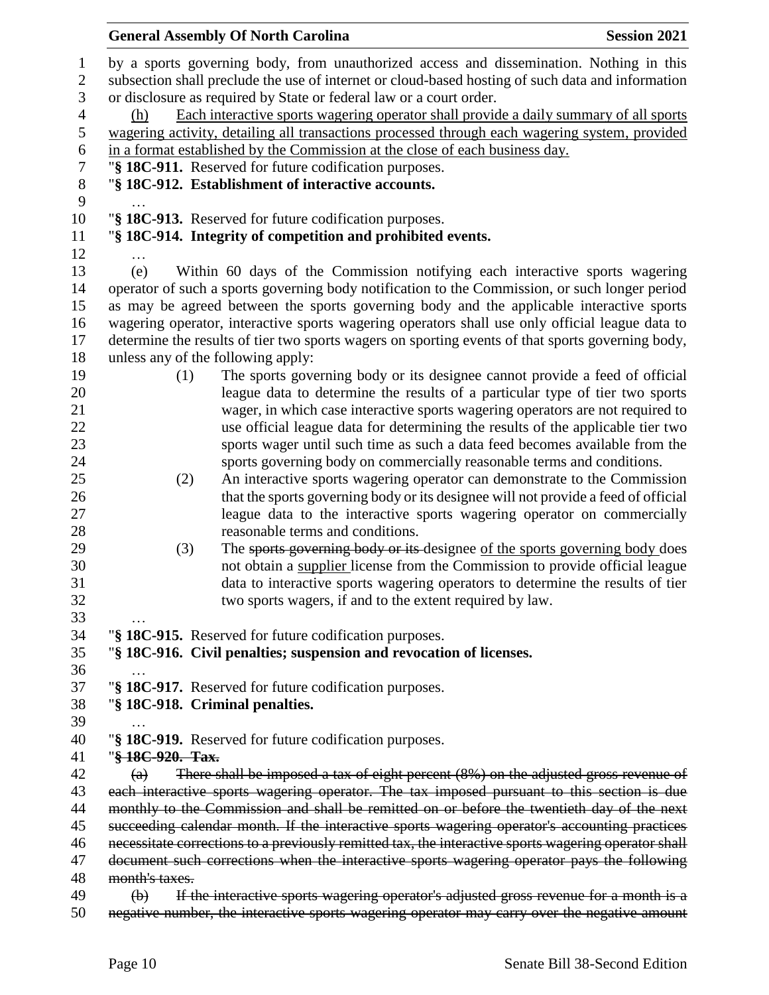| <b>General Assembly Of North Carolina</b> |                                                                                                                                                             | <b>Session 2021</b> |
|-------------------------------------------|-------------------------------------------------------------------------------------------------------------------------------------------------------------|---------------------|
|                                           | by a sports governing body, from unauthorized access and dissemination. Nothing in this                                                                     |                     |
|                                           | subsection shall preclude the use of internet or cloud-based hosting of such data and information                                                           |                     |
|                                           | or disclosure as required by State or federal law or a court order.                                                                                         |                     |
| (h)                                       | Each interactive sports wagering operator shall provide a daily summary of all sports                                                                       |                     |
|                                           | wagering activity, detailing all transactions processed through each wagering system, provided                                                              |                     |
|                                           | in a format established by the Commission at the close of each business day.                                                                                |                     |
|                                           | "§ 18C-911. Reserved for future codification purposes.                                                                                                      |                     |
|                                           | "§ 18C-912. Establishment of interactive accounts.                                                                                                          |                     |
|                                           |                                                                                                                                                             |                     |
|                                           | "§ 18C-913. Reserved for future codification purposes.                                                                                                      |                     |
|                                           | "§ 18C-914. Integrity of competition and prohibited events.                                                                                                 |                     |
|                                           |                                                                                                                                                             |                     |
| (e)                                       | Within 60 days of the Commission notifying each interactive sports wagering                                                                                 |                     |
|                                           | operator of such a sports governing body notification to the Commission, or such longer period                                                              |                     |
|                                           | as may be agreed between the sports governing body and the applicable interactive sports                                                                    |                     |
|                                           | wagering operator, interactive sports wagering operators shall use only official league data to                                                             |                     |
|                                           | determine the results of tier two sports wagers on sporting events of that sports governing body,                                                           |                     |
| unless any of the following apply:        |                                                                                                                                                             |                     |
| (1)                                       | The sports governing body or its designee cannot provide a feed of official<br>league data to determine the results of a particular type of tier two sports |                     |
|                                           |                                                                                                                                                             |                     |
|                                           | wager, in which case interactive sports wagering operators are not required to                                                                              |                     |
|                                           | use official league data for determining the results of the applicable tier two                                                                             |                     |
|                                           | sports wager until such time as such a data feed becomes available from the                                                                                 |                     |
|                                           | sports governing body on commercially reasonable terms and conditions.                                                                                      |                     |
| (2)                                       | An interactive sports wagering operator can demonstrate to the Commission                                                                                   |                     |
|                                           | that the sports governing body or its designee will not provide a feed of official                                                                          |                     |
|                                           | league data to the interactive sports wagering operator on commercially<br>reasonable terms and conditions.                                                 |                     |
| (3)                                       | The sports governing body or its designee of the sports governing body does                                                                                 |                     |
|                                           | not obtain a supplier license from the Commission to provide official league                                                                                |                     |
|                                           | data to interactive sports wagering operators to determine the results of tier                                                                              |                     |
|                                           | two sports wagers, if and to the extent required by law.                                                                                                    |                     |
|                                           |                                                                                                                                                             |                     |
|                                           | "§ 18C-915. Reserved for future codification purposes.                                                                                                      |                     |
|                                           | "§ 18C-916. Civil penalties; suspension and revocation of licenses.                                                                                         |                     |
|                                           |                                                                                                                                                             |                     |
|                                           | "§ 18C-917. Reserved for future codification purposes.                                                                                                      |                     |
| "§ 18C-918. Criminal penalties.           |                                                                                                                                                             |                     |
|                                           |                                                                                                                                                             |                     |
|                                           | "§ 18C-919. Reserved for future codification purposes.                                                                                                      |                     |
| "§ 18C-920. Tax.                          |                                                                                                                                                             |                     |
| $\left( a\right)$                         | There shall be imposed a tax of eight percent (8%) on the adjusted gross revenue of                                                                         |                     |
|                                           | each interactive sports wagering operator. The tax imposed pursuant to this section is due                                                                  |                     |
|                                           | monthly to the Commission and shall be remitted on or before the twentieth day of the next                                                                  |                     |
|                                           | succeeding calendar month. If the interactive sports wagering operator's accounting practices                                                               |                     |
|                                           | necessitate corrections to a previously remitted tax, the interactive sports wagering operator shall                                                        |                     |
|                                           | document such corrections when the interactive sports wagering operator pays the following                                                                  |                     |
| month's taxes.                            |                                                                                                                                                             |                     |
| $\left(\mathbf{b}\right)$                 | If the interactive sports wagering operator's adjusted gross revenue for a month is a                                                                       |                     |
|                                           |                                                                                                                                                             |                     |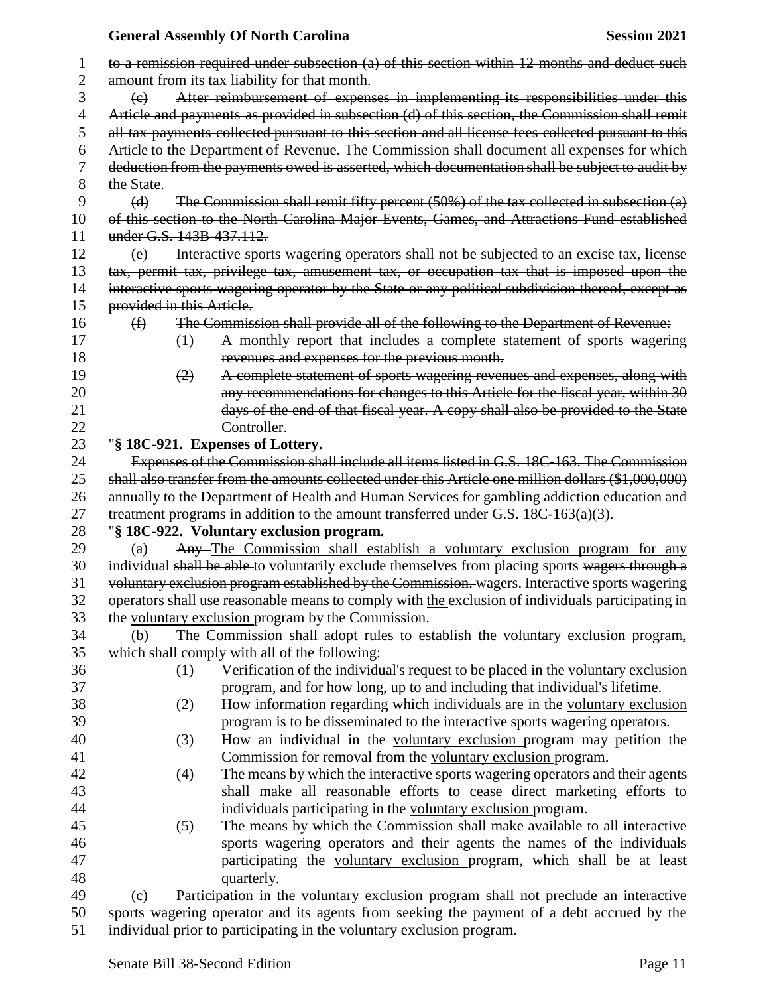|          | <b>General Assembly Of North Carolina</b><br><b>Session 2021</b>                                                                                                                                 |
|----------|--------------------------------------------------------------------------------------------------------------------------------------------------------------------------------------------------|
| 1        | to a remission required under subsection (a) of this section within 12 months and deduct such                                                                                                    |
| 2        | amount from its tax liability for that month.                                                                                                                                                    |
| 3        | After reimbursement of expenses in implementing its responsibilities under this<br>$\left(\mathrm{e}\right)$                                                                                     |
| 4        | Article and payments as provided in subsection (d) of this section, the Commission shall remit                                                                                                   |
| 5        | all tax payments collected pursuant to this section and all license fees collected pursuant to this                                                                                              |
| 6        | Article to the Department of Revenue. The Commission shall document all expenses for which                                                                                                       |
| 7        | deduction from the payments owed is asserted, which documentation shall be subject to audit by                                                                                                   |
| 8        | the State.                                                                                                                                                                                       |
| 9        | The Commission shall remit fifty percent $(50%)$ of the tax collected in subsection (a)<br>(d)                                                                                                   |
| 10       | of this section to the North Carolina Major Events, Games, and Attractions Fund established                                                                                                      |
| 11       | under G.S. 143B-437.112.                                                                                                                                                                         |
| 12       | Interactive sports wagering operators shall not be subjected to an excise tax, license<br>(e)                                                                                                    |
| 13       | tax, permit tax, privilege tax, amusement tax, or occupation tax that is imposed upon the                                                                                                        |
| 14       | interactive sports wagering operator by the State or any political subdivision thereof, except as                                                                                                |
| 15       | provided in this Article.                                                                                                                                                                        |
| 16       | The Commission shall provide all of the following to the Department of Revenue:<br>$\bigoplus$                                                                                                   |
| 17       | A monthly report that includes a complete statement of sports wagering<br>$\leftrightarrow$                                                                                                      |
| 18       | revenues and expenses for the previous month.                                                                                                                                                    |
| 19       | A complete statement of sports wagering revenues and expenses, along with<br>(2)                                                                                                                 |
| 20       | any recommendations for changes to this Article for the fiscal year, within 30                                                                                                                   |
| 21       | days of the end of that fiscal year. A copy shall also be provided to the State                                                                                                                  |
| 22       | Controller.                                                                                                                                                                                      |
| 23       | "§ 18C-921. Expenses of Lottery.                                                                                                                                                                 |
| 24<br>25 | Expenses of the Commission shall include all items listed in G.S. 18C-163. The Commission<br>shall also transfer from the amounts collected under this Article one million dollars (\$1,000,000) |
| 26       | annually to the Department of Health and Human Services for gambling addiction education and                                                                                                     |
| 27       | treatment programs in addition to the amount transferred under G.S. 18C-163(a)(3).                                                                                                               |
| 28       | "§ 18C-922. Voluntary exclusion program.                                                                                                                                                         |
| 29       | Any-The Commission shall establish a voluntary exclusion program for any<br>(a)                                                                                                                  |
| 30       | individual shall be able to voluntarily exclude themselves from placing sports wagers through a                                                                                                  |
| 31       | voluntary exclusion program established by the Commission. wagers. Interactive sports wagering                                                                                                   |
| 32       | operators shall use reasonable means to comply with the exclusion of individuals participating in                                                                                                |
| 33       | the voluntary exclusion program by the Commission.                                                                                                                                               |
| 34       | The Commission shall adopt rules to establish the voluntary exclusion program,<br>(b)                                                                                                            |
| 35       | which shall comply with all of the following:                                                                                                                                                    |
| 36       | Verification of the individual's request to be placed in the voluntary exclusion<br>(1)                                                                                                          |
| 37       | program, and for how long, up to and including that individual's lifetime.                                                                                                                       |
| 38       | How information regarding which individuals are in the voluntary exclusion<br>(2)                                                                                                                |
| 39       | program is to be disseminated to the interactive sports wagering operators.                                                                                                                      |
| 40       | How an individual in the voluntary exclusion program may petition the<br>(3)                                                                                                                     |
| 41       | Commission for removal from the voluntary exclusion program.                                                                                                                                     |
| 42       | The means by which the interactive sports wagering operators and their agents<br>(4)                                                                                                             |
| 43       | shall make all reasonable efforts to cease direct marketing efforts to                                                                                                                           |
| 44       | individuals participating in the voluntary exclusion program.                                                                                                                                    |
| 45       | The means by which the Commission shall make available to all interactive<br>(5)                                                                                                                 |
| 46       | sports wagering operators and their agents the names of the individuals                                                                                                                          |
| 47       | participating the voluntary exclusion program, which shall be at least                                                                                                                           |
| 48       | quarterly.                                                                                                                                                                                       |
| 49       | Participation in the voluntary exclusion program shall not preclude an interactive<br>(c)                                                                                                        |
| 50       | sports wagering operator and its agents from seeking the payment of a debt accrued by the                                                                                                        |

51 individual prior to participating in the voluntary exclusion program.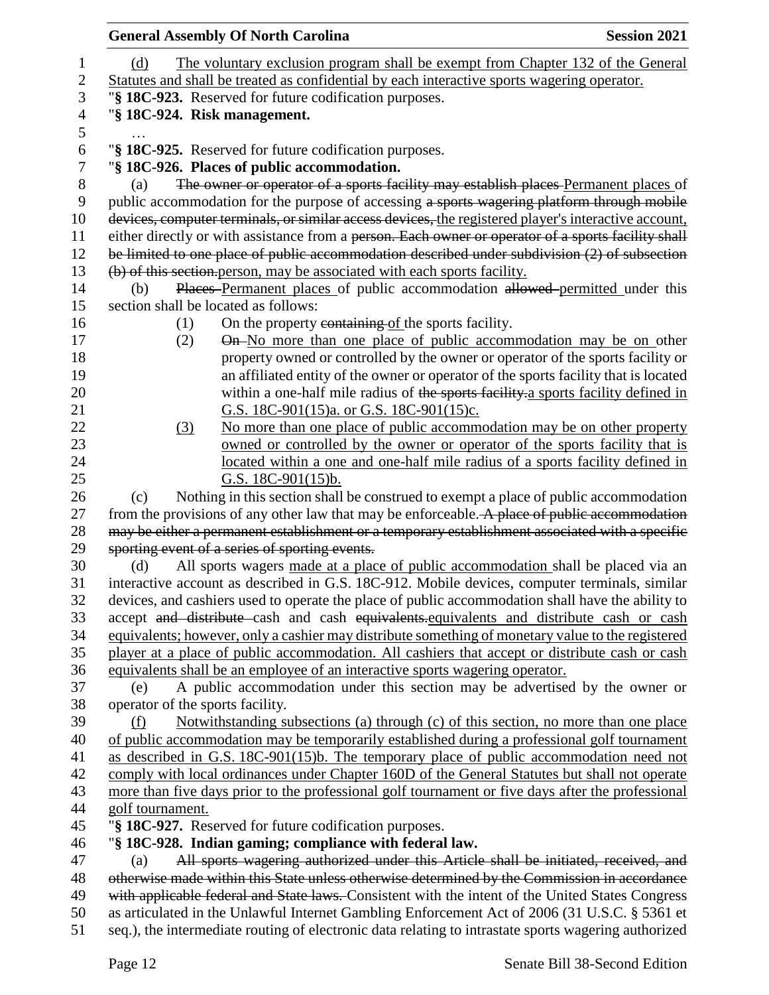|                                                                                             | <b>General Assembly Of North Carolina</b>                                                                                                                                                         | <b>Session 2021</b> |  |
|---------------------------------------------------------------------------------------------|---------------------------------------------------------------------------------------------------------------------------------------------------------------------------------------------------|---------------------|--|
| (d)                                                                                         | The voluntary exclusion program shall be exempt from Chapter 132 of the General                                                                                                                   |                     |  |
| Statutes and shall be treated as confidential by each interactive sports wagering operator. |                                                                                                                                                                                                   |                     |  |
| "§ 18C-923. Reserved for future codification purposes.                                      |                                                                                                                                                                                                   |                     |  |
|                                                                                             | "§ 18C-924. Risk management.                                                                                                                                                                      |                     |  |
|                                                                                             |                                                                                                                                                                                                   |                     |  |
|                                                                                             | "§ 18C-925. Reserved for future codification purposes.                                                                                                                                            |                     |  |
|                                                                                             | "§ 18C-926. Places of public accommodation.                                                                                                                                                       |                     |  |
| (a)                                                                                         | The owner or operator of a sports facility may establish places Permanent places of                                                                                                               |                     |  |
|                                                                                             | public accommodation for the purpose of accessing a sports wagering platform through mobile                                                                                                       |                     |  |
|                                                                                             | devices, computer terminals, or similar access devices, the registered player's interactive account,                                                                                              |                     |  |
|                                                                                             | either directly or with assistance from a person. Each owner or operator of a sports facility shall                                                                                               |                     |  |
|                                                                                             | be limited to one place of public accommodation described under subdivision (2) of subsection                                                                                                     |                     |  |
|                                                                                             | (b) of this section person, may be associated with each sports facility.                                                                                                                          |                     |  |
| (b)                                                                                         | Places Permanent places of public accommodation allowed permitted under this                                                                                                                      |                     |  |
|                                                                                             | section shall be located as follows:                                                                                                                                                              |                     |  |
| (1)                                                                                         | On the property containing of the sports facility.                                                                                                                                                |                     |  |
| (2)                                                                                         | On-No more than one place of public accommodation may be on other                                                                                                                                 |                     |  |
|                                                                                             | property owned or controlled by the owner or operator of the sports facility or                                                                                                                   |                     |  |
|                                                                                             | an affiliated entity of the owner or operator of the sports facility that is located                                                                                                              |                     |  |
|                                                                                             | within a one-half mile radius of the sports facility a sports facility defined in                                                                                                                 |                     |  |
|                                                                                             | G.S. 18C-901(15)a. or G.S. 18C-901(15)c.                                                                                                                                                          |                     |  |
| (3)                                                                                         | No more than one place of public accommodation may be on other property                                                                                                                           |                     |  |
|                                                                                             | owned or controlled by the owner or operator of the sports facility that is                                                                                                                       |                     |  |
|                                                                                             | located within a one and one-half mile radius of a sports facility defined in                                                                                                                     |                     |  |
| (c)                                                                                         | G.S. $18C-901(15)b$ .<br>Nothing in this section shall be construed to exempt a place of public accommodation                                                                                     |                     |  |
|                                                                                             | from the provisions of any other law that may be enforceable. A place of public accommodation                                                                                                     |                     |  |
|                                                                                             | may be either a permanent establishment or a temporary establishment associated with a specific                                                                                                   |                     |  |
|                                                                                             | sporting event of a series of sporting events.                                                                                                                                                    |                     |  |
| (d)                                                                                         | All sports wagers made at a place of public accommodation shall be placed via an                                                                                                                  |                     |  |
|                                                                                             | interactive account as described in G.S. 18C-912. Mobile devices, computer terminals, similar                                                                                                     |                     |  |
|                                                                                             | devices, and cashiers used to operate the place of public accommodation shall have the ability to                                                                                                 |                     |  |
|                                                                                             | accept and distribute cash and cash equivalents equivalents and distribute cash or cash                                                                                                           |                     |  |
|                                                                                             | equivalents; however, only a cashier may distribute something of monetary value to the registered                                                                                                 |                     |  |
|                                                                                             | player at a place of public accommodation. All cashiers that accept or distribute cash or cash                                                                                                    |                     |  |
|                                                                                             | equivalents shall be an employee of an interactive sports wagering operator.                                                                                                                      |                     |  |
| (e)                                                                                         | A public accommodation under this section may be advertised by the owner or                                                                                                                       |                     |  |
| operator of the sports facility.                                                            |                                                                                                                                                                                                   |                     |  |
| (f)                                                                                         | Notwithstanding subsections (a) through (c) of this section, no more than one place                                                                                                               |                     |  |
|                                                                                             | of public accommodation may be temporarily established during a professional golf tournament                                                                                                      |                     |  |
|                                                                                             | as described in G.S. 18C-901(15)b. The temporary place of public accommodation need not                                                                                                           |                     |  |
|                                                                                             | comply with local ordinances under Chapter 160D of the General Statutes but shall not operate                                                                                                     |                     |  |
|                                                                                             | more than five days prior to the professional golf tournament or five days after the professional                                                                                                 |                     |  |
| golf tournament.                                                                            |                                                                                                                                                                                                   |                     |  |
|                                                                                             | "§ 18C-927. Reserved for future codification purposes.                                                                                                                                            |                     |  |
|                                                                                             | "§ 18C-928. Indian gaming; compliance with federal law.                                                                                                                                           |                     |  |
| (a)                                                                                         | All sports wagering authorized under this Article shall be initiated, received, and                                                                                                               |                     |  |
|                                                                                             | otherwise made within this State unless otherwise determined by the Commission in accordance                                                                                                      |                     |  |
|                                                                                             | with applicable federal and State laws. Consistent with the intent of the United States Congress<br>as articulated in the Unlawful Internet Gambling Enforcement Act of 2006 (31 U.S.C. § 5361 et |                     |  |
|                                                                                             | seq.), the intermediate routing of electronic data relating to intrastate sports wagering authorized                                                                                              |                     |  |
|                                                                                             |                                                                                                                                                                                                   |                     |  |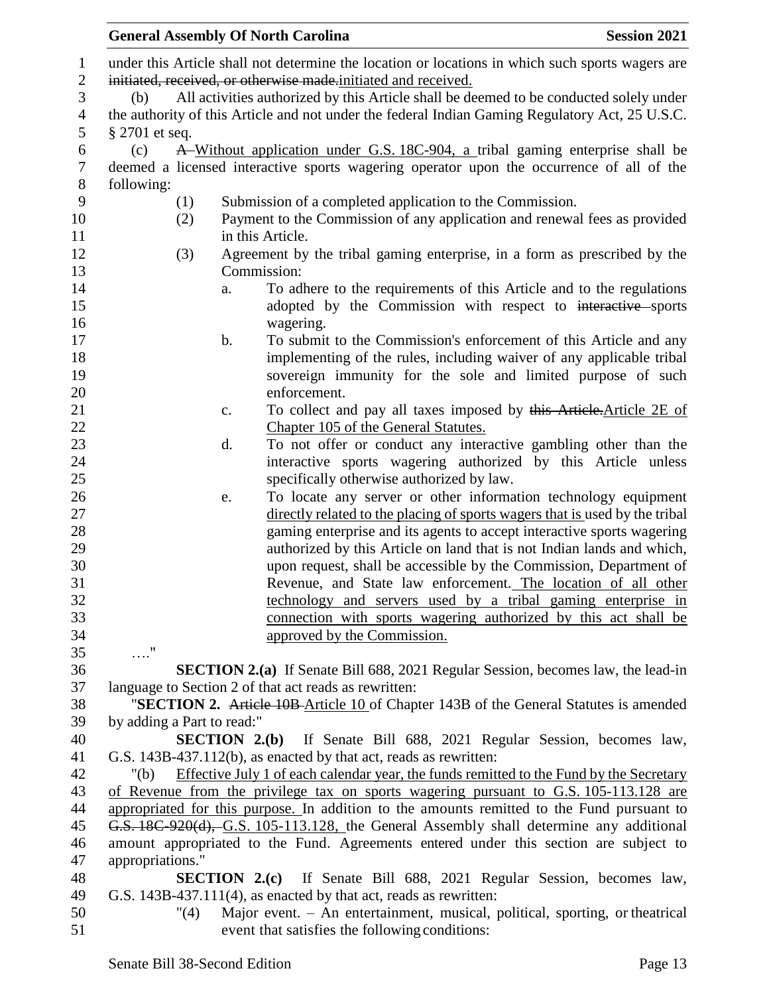|                            | <b>General Assembly Of North Carolina</b><br><b>Session 2021</b>                                 |
|----------------------------|--------------------------------------------------------------------------------------------------|
|                            | under this Article shall not determine the location or locations in which such sports wagers are |
|                            | initiated, received, or otherwise made initiated and received.                                   |
| (b)                        | All activities authorized by this Article shall be deemed to be conducted solely under           |
|                            | the authority of this Article and not under the federal Indian Gaming Regulatory Act, 25 U.S.C.  |
| $§$ 2701 et seq.           |                                                                                                  |
| (c)                        | A Without application under G.S. 18C-904, a tribal gaming enterprise shall be                    |
|                            | deemed a licensed interactive sports wagering operator upon the occurrence of all of the         |
| following:                 |                                                                                                  |
| (1)                        | Submission of a completed application to the Commission.                                         |
| (2)                        | Payment to the Commission of any application and renewal fees as provided                        |
|                            | in this Article.                                                                                 |
| (3)                        | Agreement by the tribal gaming enterprise, in a form as prescribed by the                        |
|                            | Commission:                                                                                      |
|                            | To adhere to the requirements of this Article and to the regulations<br>a.                       |
|                            | adopted by the Commission with respect to interactive sports                                     |
|                            | wagering.                                                                                        |
|                            | To submit to the Commission's enforcement of this Article and any<br>b.                          |
|                            | implementing of the rules, including waiver of any applicable tribal                             |
|                            | sovereign immunity for the sole and limited purpose of such                                      |
|                            | enforcement.                                                                                     |
|                            | To collect and pay all taxes imposed by this Article. Article 2E of<br>c.                        |
|                            | Chapter 105 of the General Statutes.                                                             |
|                            | To not offer or conduct any interactive gambling other than the<br>d.                            |
|                            | interactive sports wagering authorized by this Article unless                                    |
|                            | specifically otherwise authorized by law.                                                        |
|                            | To locate any server or other information technology equipment<br>e.                             |
|                            | directly related to the placing of sports wagers that is used by the tribal                      |
|                            | gaming enterprise and its agents to accept interactive sports wagering                           |
|                            | authorized by this Article on land that is not Indian lands and which,                           |
|                            | upon request, shall be accessible by the Commission, Department of                               |
|                            | Revenue, and State law enforcement. The location of all other                                    |
|                            | technology and servers used by a tribal gaming enterprise in                                     |
|                            | connection with sports wagering authorized by this act shall be                                  |
|                            | approved by the Commission.                                                                      |
| $\ldots$ "                 |                                                                                                  |
|                            | SECTION 2.(a) If Senate Bill 688, 2021 Regular Session, becomes law, the lead-in                 |
|                            | language to Section 2 of that act reads as rewritten:                                            |
|                            | "SECTION 2. Article 10B-Article 10 of Chapter 143B of the General Statutes is amended            |
| by adding a Part to read:" | <b>SECTION 2.(b)</b> If Senate Bill 688, 2021 Regular Session, becomes law,                      |
|                            | G.S. 143B-437.112(b), as enacted by that act, reads as rewritten:                                |
| " $(b)$                    | Effective July 1 of each calendar year, the funds remitted to the Fund by the Secretary          |
|                            | of Revenue from the privilege tax on sports wagering pursuant to G.S. 105-113.128 are            |
|                            | appropriated for this purpose. In addition to the amounts remitted to the Fund pursuant to       |
|                            | G.S. 18C-920(d), G.S. 105-113.128, the General Assembly shall determine any additional           |
|                            | amount appropriated to the Fund. Agreements entered under this section are subject to            |
| appropriations."           |                                                                                                  |
|                            | <b>SECTION 2.(c)</b> If Senate Bill 688, 2021 Regular Session, becomes law,                      |
|                            | G.S. 143B-437.111(4), as enacted by that act, reads as rewritten:                                |
| "(4)                       | Major event. - An entertainment, musical, political, sporting, or theatrical                     |
|                            | event that satisfies the following conditions:                                                   |
|                            |                                                                                                  |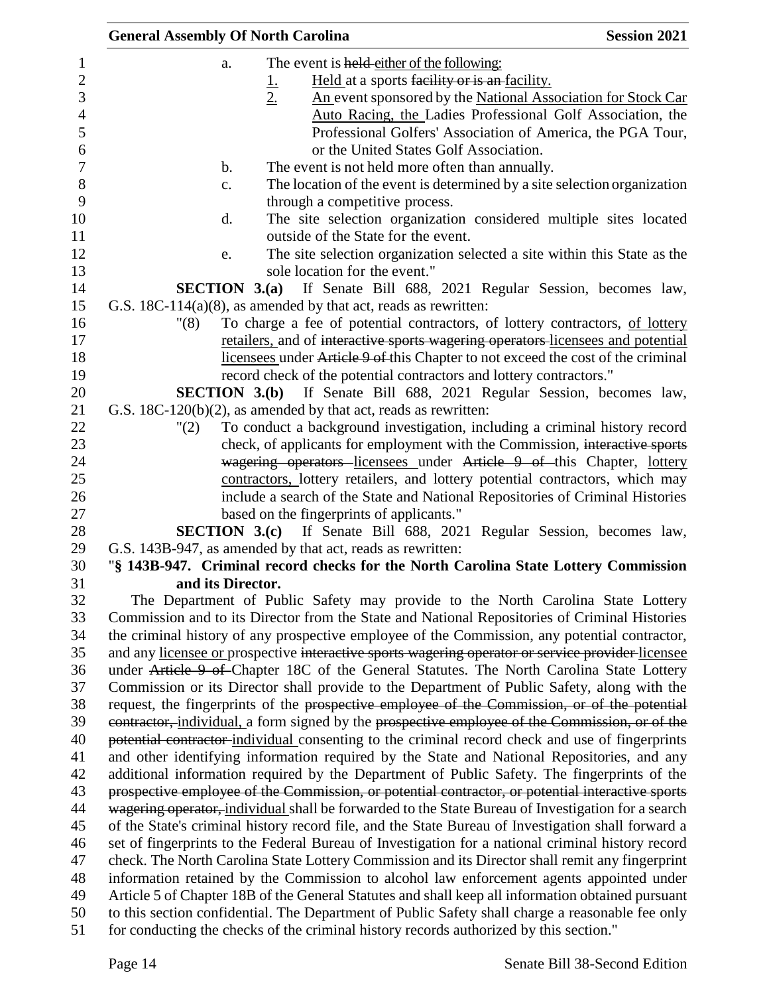| <b>General Assembly Of North Carolina</b> |                                                                                                    | <b>Session 2021</b> |
|-------------------------------------------|----------------------------------------------------------------------------------------------------|---------------------|
| a.                                        | The event is held-either of the following:                                                         |                     |
|                                           | Held at a sports facility or is an facility.<br><u>L</u>                                           |                     |
|                                           | 2.<br>An event sponsored by the National Association for Stock Car                                 |                     |
|                                           | Auto Racing, the Ladies Professional Golf Association, the                                         |                     |
|                                           | Professional Golfers' Association of America, the PGA Tour,                                        |                     |
|                                           | or the United States Golf Association.                                                             |                     |
| $\mathbf b$ .                             | The event is not held more often than annually.                                                    |                     |
| c.                                        | The location of the event is determined by a site selection organization                           |                     |
|                                           | through a competitive process.                                                                     |                     |
| d.                                        | The site selection organization considered multiple sites located                                  |                     |
|                                           | outside of the State for the event.                                                                |                     |
| e.                                        | The site selection organization selected a site within this State as the                           |                     |
|                                           | sole location for the event."                                                                      |                     |
| SECTION $3.(a)$                           | If Senate Bill 688, 2021 Regular Session, becomes law,                                             |                     |
|                                           | G.S. $18C-114(a)(8)$ , as amended by that act, reads as rewritten:                                 |                     |
| "(8)                                      | To charge a fee of potential contractors, of lottery contractors, of lottery                       |                     |
|                                           | retailers, and of interactive sports wagering operators licensees and potential                    |                     |
|                                           | licensees under Article 9 of this Chapter to not exceed the cost of the criminal                   |                     |
|                                           | record check of the potential contractors and lottery contractors."                                |                     |
|                                           | <b>SECTION 3.(b)</b> If Senate Bill 688, 2021 Regular Session, becomes law,                        |                     |
|                                           | G.S. $18C-120(b)(2)$ , as amended by that act, reads as rewritten:                                 |                     |
| "(2)                                      | To conduct a background investigation, including a criminal history record                         |                     |
|                                           | check, of applicants for employment with the Commission, interactive sports                        |                     |
|                                           | wagering operators licensees under Article 9 of this Chapter, lottery                              |                     |
|                                           | contractors, lottery retailers, and lottery potential contractors, which may                       |                     |
|                                           | include a search of the State and National Repositories of Criminal Histories                      |                     |
|                                           | based on the fingerprints of applicants."                                                          |                     |
|                                           | SECTION 3.(c) If Senate Bill 688, 2021 Regular Session, becomes law,                               |                     |
|                                           | G.S. 143B-947, as amended by that act, reads as rewritten:                                         |                     |
| and its Director.                         | "§ 143B-947. Criminal record checks for the North Carolina State Lottery Commission                |                     |
|                                           | The Department of Public Safety may provide to the North Carolina State Lottery                    |                     |
|                                           | Commission and to its Director from the State and National Repositories of Criminal Histories      |                     |
|                                           | the criminal history of any prospective employee of the Commission, any potential contractor,      |                     |
|                                           | and any licensee or prospective interactive sports wagering operator or service provider-licensee  |                     |
|                                           | under Article 9 of Chapter 18C of the General Statutes. The North Carolina State Lottery           |                     |
|                                           | Commission or its Director shall provide to the Department of Public Safety, along with the        |                     |
|                                           | request, the fingerprints of the prospective employee of the Commission, or of the potential       |                     |
|                                           | contractor, individual, a form signed by the prospective employee of the Commission, or of the     |                     |
|                                           | potential contractor-individual consenting to the criminal record check and use of fingerprints    |                     |
|                                           | and other identifying information required by the State and National Repositories, and any         |                     |
|                                           | additional information required by the Department of Public Safety. The fingerprints of the        |                     |
|                                           | prospective employee of the Commission, or potential contractor, or potential interactive sports   |                     |
|                                           | wagering operator, individual shall be forwarded to the State Bureau of Investigation for a search |                     |
|                                           | of the State's criminal history record file, and the State Bureau of Investigation shall forward a |                     |
|                                           | set of fingerprints to the Federal Bureau of Investigation for a national criminal history record  |                     |
|                                           | check. The North Carolina State Lottery Commission and its Director shall remit any fingerprint    |                     |
|                                           | information retained by the Commission to alcohol law enforcement agents appointed under           |                     |
|                                           | Article 5 of Chapter 18B of the General Statutes and shall keep all information obtained pursuant  |                     |
|                                           | to this section confidential. The Department of Public Safety shall charge a reasonable fee only   |                     |
|                                           | for conducting the checks of the criminal history records authorized by this section."             |                     |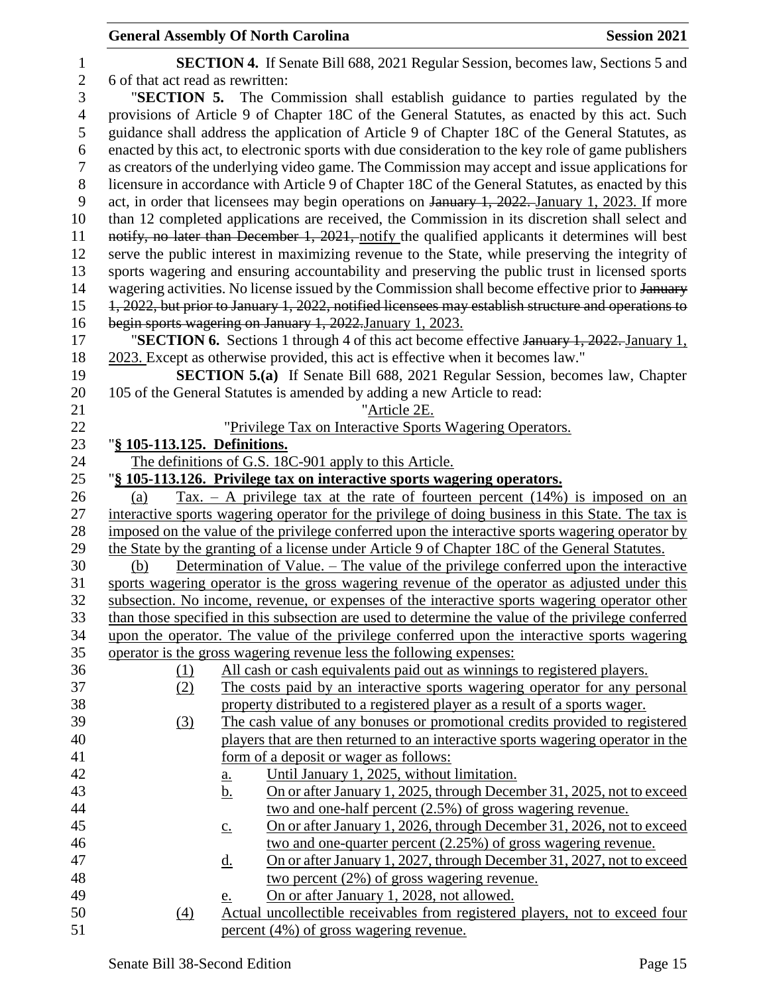| 1                |                                                                                                     | <b>SECTION 4.</b> If Senate Bill 688, 2021 Regular Session, becomes law, Sections 5 and             |  |  |
|------------------|-----------------------------------------------------------------------------------------------------|-----------------------------------------------------------------------------------------------------|--|--|
| $\overline{2}$   | 6 of that act read as rewritten:                                                                    |                                                                                                     |  |  |
| 3                |                                                                                                     | "SECTION 5. The Commission shall establish guidance to parties regulated by the                     |  |  |
| $\overline{4}$   |                                                                                                     | provisions of Article 9 of Chapter 18C of the General Statutes, as enacted by this act. Such        |  |  |
| 5                |                                                                                                     | guidance shall address the application of Article 9 of Chapter 18C of the General Statutes, as      |  |  |
| 6                |                                                                                                     | enacted by this act, to electronic sports with due consideration to the key role of game publishers |  |  |
| $\boldsymbol{7}$ |                                                                                                     | as creators of the underlying video game. The Commission may accept and issue applications for      |  |  |
| $8\,$            |                                                                                                     | licensure in accordance with Article 9 of Chapter 18C of the General Statutes, as enacted by this   |  |  |
| 9                |                                                                                                     | act, in order that licensees may begin operations on January 1, 2022. January 1, 2023. If more      |  |  |
| 10               |                                                                                                     | than 12 completed applications are received, the Commission in its discretion shall select and      |  |  |
| 11               |                                                                                                     | notify, no later than December 1, 2021, notify the qualified applicants it determines will best     |  |  |
| 12               |                                                                                                     | serve the public interest in maximizing revenue to the State, while preserving the integrity of     |  |  |
| 13               |                                                                                                     | sports wagering and ensuring accountability and preserving the public trust in licensed sports      |  |  |
| 14               | wagering activities. No license issued by the Commission shall become effective prior to January    |                                                                                                     |  |  |
| 15               | 1, 2022, but prior to January 1, 2022, notified licensees may establish structure and operations to |                                                                                                     |  |  |
| 16               | begin sports wagering on January 1, 2022. January 1, 2023.                                          |                                                                                                     |  |  |
| 17               |                                                                                                     | "SECTION 6. Sections 1 through 4 of this act become effective January 1, 2022. January 1,           |  |  |
| 18               |                                                                                                     | 2023. Except as otherwise provided, this act is effective when it becomes law."                     |  |  |
| 19               | <b>SECTION 5.(a)</b> If Senate Bill 688, 2021 Regular Session, becomes law, Chapter                 |                                                                                                     |  |  |
| 20               |                                                                                                     | 105 of the General Statutes is amended by adding a new Article to read:                             |  |  |
| 21               |                                                                                                     | "Article 2E.                                                                                        |  |  |
| 22               |                                                                                                     | "Privilege Tax on Interactive Sports Wagering Operators.                                            |  |  |
| 23               | "§ 105-113.125. Definitions.                                                                        |                                                                                                     |  |  |
| 24               | The definitions of G.S. 18C-901 apply to this Article.                                              |                                                                                                     |  |  |
| 25               |                                                                                                     | "§ 105-113.126. Privilege tax on interactive sports wagering operators.                             |  |  |
| 26               | (a)                                                                                                 | $\text{Tax.} - \text{A}$ privilege tax at the rate of fourteen percent (14%) is imposed on an       |  |  |
| 27               |                                                                                                     | interactive sports wagering operator for the privilege of doing business in this State. The tax is  |  |  |
| 28               |                                                                                                     | imposed on the value of the privilege conferred upon the interactive sports wagering operator by    |  |  |
| 29               |                                                                                                     | the State by the granting of a license under Article 9 of Chapter 18C of the General Statutes.      |  |  |
| 30               | (b)                                                                                                 | Determination of Value. – The value of the privilege conferred upon the interactive                 |  |  |
| 31               |                                                                                                     | sports wagering operator is the gross wagering revenue of the operator as adjusted under this       |  |  |
| 32               |                                                                                                     | subsection. No income, revenue, or expenses of the interactive sports wagering operator other       |  |  |
| 33               |                                                                                                     | than those specified in this subsection are used to determine the value of the privilege conferred  |  |  |
| 34               | upon the operator. The value of the privilege conferred upon the interactive sports wagering        |                                                                                                     |  |  |
| 35               |                                                                                                     | operator is the gross wagering revenue less the following expenses:                                 |  |  |
| 36               | (1)                                                                                                 | All cash or cash equivalents paid out as winnings to registered players.                            |  |  |
| 37               | (2)                                                                                                 | The costs paid by an interactive sports wagering operator for any personal                          |  |  |
| 38               |                                                                                                     | property distributed to a registered player as a result of a sports wager.                          |  |  |
| 39               | (3)                                                                                                 | The cash value of any bonuses or promotional credits provided to registered                         |  |  |
| 40               |                                                                                                     | players that are then returned to an interactive sports wagering operator in the                    |  |  |
| 41               |                                                                                                     | form of a deposit or wager as follows:                                                              |  |  |
| 42               |                                                                                                     | Until January 1, 2025, without limitation.<br><u>a.</u>                                             |  |  |
| 43               |                                                                                                     | On or after January 1, 2025, through December 31, 2025, not to exceed<br><u>b.</u>                  |  |  |
| 44               |                                                                                                     | two and one-half percent (2.5%) of gross wagering revenue.                                          |  |  |
| 45               |                                                                                                     | On or after January 1, 2026, through December 31, 2026, not to exceed<br>$\underline{c}$ .          |  |  |
| 46               |                                                                                                     | two and one-quarter percent (2.25%) of gross wagering revenue.                                      |  |  |
| 47               |                                                                                                     | On or after January 1, 2027, through December 31, 2027, not to exceed<br><u>d.</u>                  |  |  |
| 48               |                                                                                                     | two percent $(2\%)$ of gross wagering revenue.                                                      |  |  |
| 49               |                                                                                                     | On or after January 1, 2028, not allowed.<br>e.                                                     |  |  |
| 50               | (4)                                                                                                 | Actual uncollectible receivables from registered players, not to exceed four                        |  |  |
| 51               |                                                                                                     | percent (4%) of gross wagering revenue.                                                             |  |  |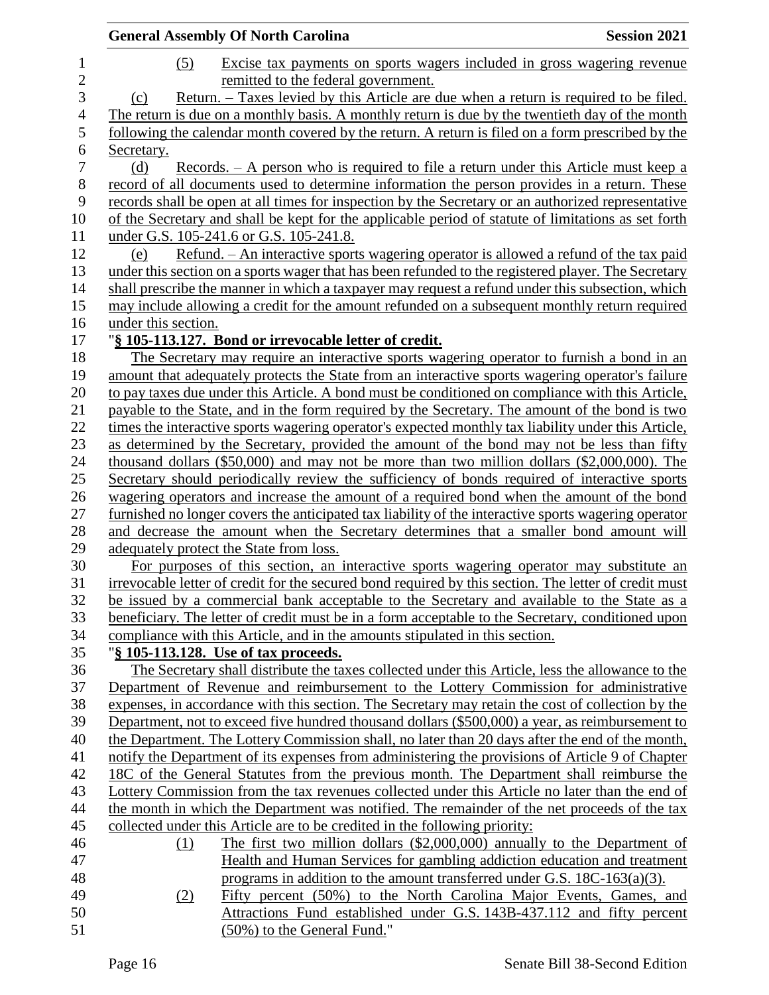|                     | <b>General Assembly Of North Carolina</b><br><b>Session 2021</b>                                                                                                                           |
|---------------------|--------------------------------------------------------------------------------------------------------------------------------------------------------------------------------------------|
| $\mathbf{1}$        | (5)<br>Excise tax payments on sports wagers included in gross wagering revenue                                                                                                             |
| $\overline{c}$<br>3 | remitted to the federal government.<br><u>Return. – Taxes levied by this Article are due when a return is required to be filed.</u>                                                        |
| $\overline{4}$      | (c)<br>The return is due on a monthly basis. A monthly return is due by the twentieth day of the month                                                                                     |
| 5                   |                                                                                                                                                                                            |
| 6                   | following the calendar month covered by the return. A return is filed on a form prescribed by the<br>Secretary.                                                                            |
| 7                   | (d)                                                                                                                                                                                        |
| 8                   | <u>Records. – A person who is required to file a return under this Article must keep a</u><br>record of all documents used to determine information the person provides in a return. These |
| 9                   | records shall be open at all times for inspection by the Secretary or an authorized representative                                                                                         |
| 10                  | of the Secretary and shall be kept for the applicable period of statute of limitations as set forth                                                                                        |
| 11                  | under G.S. 105-241.6 or G.S. 105-241.8.                                                                                                                                                    |
| 12                  | <u>Refund. – An interactive sports wagering operator is allowed a refund of the tax paid</u><br>(e)                                                                                        |
| 13                  | under this section on a sports wager that has been refunded to the registered player. The Secretary                                                                                        |
| 14                  | shall prescribe the manner in which a taxpayer may request a refund under this subsection, which                                                                                           |
| 15                  | may include allowing a credit for the amount refunded on a subsequent monthly return required                                                                                              |
| 16                  | under this section.                                                                                                                                                                        |
| 17                  | "§ 105-113.127. Bond or irrevocable letter of credit.                                                                                                                                      |
| 18                  | The Secretary may require an interactive sports wagering operator to furnish a bond in an                                                                                                  |
| 19                  | amount that adequately protects the State from an interactive sports wagering operator's failure                                                                                           |
| 20                  | to pay taxes due under this Article. A bond must be conditioned on compliance with this Article,                                                                                           |
| 21                  | payable to the State, and in the form required by the Secretary. The amount of the bond is two                                                                                             |
| 22                  | times the interactive sports wagering operator's expected monthly tax liability under this Article,                                                                                        |
| 23                  | as determined by the Secretary, provided the amount of the bond may not be less than fifty                                                                                                 |
| 24                  | thousand dollars $(\$50,000)$ and may not be more than two million dollars $(\$2,000,000)$ . The                                                                                           |
| 25                  | Secretary should periodically review the sufficiency of bonds required of interactive sports                                                                                               |
| 26                  | wagering operators and increase the amount of a required bond when the amount of the bond                                                                                                  |
| 27                  | furnished no longer covers the anticipated tax liability of the interactive sports wagering operator                                                                                       |
| 28                  | and decrease the amount when the Secretary determines that a smaller bond amount will                                                                                                      |
| 29                  | adequately protect the State from loss.                                                                                                                                                    |
| 30                  | For purposes of this section, an interactive sports wagering operator may substitute an                                                                                                    |
| 31                  | irrevocable letter of credit for the secured bond required by this section. The letter of credit must                                                                                      |
| 32                  | be issued by a commercial bank acceptable to the Secretary and available to the State as a                                                                                                 |
| 33                  | beneficiary. The letter of credit must be in a form acceptable to the Secretary, conditioned upon                                                                                          |
| 34                  | compliance with this Article, and in the amounts stipulated in this section.                                                                                                               |
| 35                  | "§ 105-113.128. Use of tax proceeds.                                                                                                                                                       |
| 36                  | The Secretary shall distribute the taxes collected under this Article, less the allowance to the                                                                                           |
| 37                  | Department of Revenue and reimbursement to the Lottery Commission for administrative                                                                                                       |
| 38                  | expenses, in accordance with this section. The Secretary may retain the cost of collection by the                                                                                          |
| 39                  | Department, not to exceed five hundred thousand dollars (\$500,000) a year, as reimbursement to                                                                                            |
| 40                  | the Department. The Lottery Commission shall, no later than 20 days after the end of the month,                                                                                            |
| 41                  | notify the Department of its expenses from administering the provisions of Article 9 of Chapter                                                                                            |
| 42                  | 18C of the General Statutes from the previous month. The Department shall reimburse the                                                                                                    |
| 43                  | Lottery Commission from the tax revenues collected under this Article no later than the end of                                                                                             |
| 44                  | the month in which the Department was notified. The remainder of the net proceeds of the tax                                                                                               |
| 45                  | collected under this Article are to be credited in the following priority:                                                                                                                 |
| 46                  | The first two million dollars $(\$2,000,000)$ annually to the Department of<br>(1)                                                                                                         |
| 47                  | Health and Human Services for gambling addiction education and treatment                                                                                                                   |
| 48                  | programs in addition to the amount transferred under G.S. $18C-163(a)(3)$ .                                                                                                                |
| 49<br>50            | Fifty percent (50%) to the North Carolina Major Events, Games, and<br>(2)                                                                                                                  |
| 51                  | Attractions Fund established under G.S. 143B-437.112 and fifty percent<br>(50%) to the General Fund."                                                                                      |
|                     |                                                                                                                                                                                            |